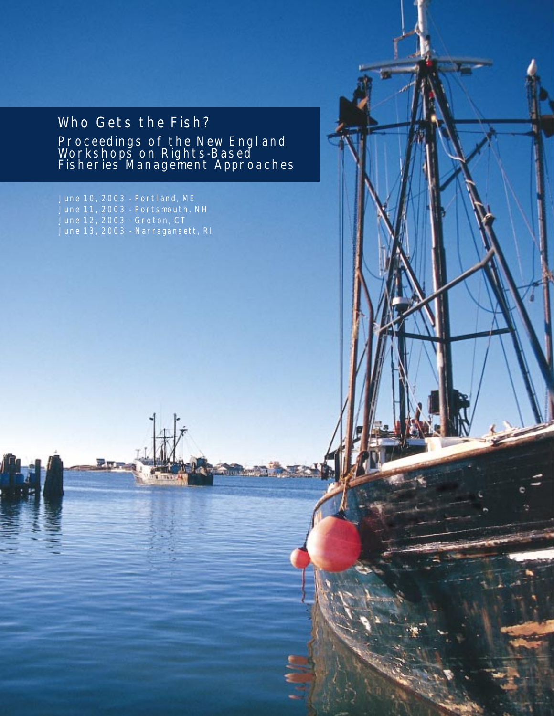# Who Gets the Fish?

Proceedings of the New England Workshops on Rights-Based Fisheries Management Approaches

June 10, 2003 - Portland, ME June 11, 2003 - Portsmouth, NH June 12, 2003 - Groton, CT June 13, 2003 - Narragansett, RI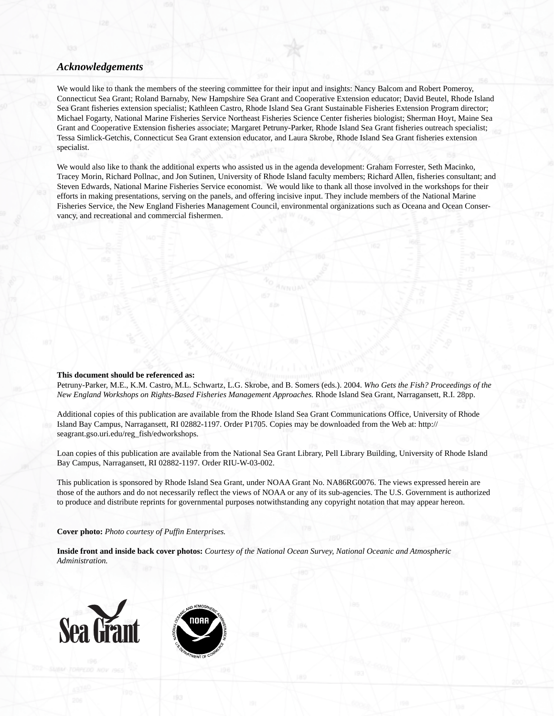### *Acknowledgements*

We would like to thank the members of the steering committee for their input and insights: Nancy Balcom and Robert Pomeroy, Connecticut Sea Grant; Roland Barnaby, New Hampshire Sea Grant and Cooperative Extension educator; David Beutel, Rhode Island Sea Grant fisheries extension specialist; Kathleen Castro, Rhode Island Sea Grant Sustainable Fisheries Extension Program director; Michael Fogarty, National Marine Fisheries Service Northeast Fisheries Science Center fisheries biologist; Sherman Hoyt, Maine Sea Grant and Cooperative Extension fisheries associate; Margaret Petruny-Parker, Rhode Island Sea Grant fisheries outreach specialist; Tessa Simlick-Getchis, Connecticut Sea Grant extension educator, and Laura Skrobe, Rhode Island Sea Grant fisheries extension specialist.

We would also like to thank the additional experts who assisted us in the agenda development: Graham Forrester, Seth Macinko, Tracey Morin, Richard Pollnac, and Jon Sutinen, University of Rhode Island faculty members; Richard Allen, fisheries consultant; and Steven Edwards, National Marine Fisheries Service economist. We would like to thank all those involved in the workshops for their efforts in making presentations, serving on the panels, and offering incisive input. They include members of the National Marine Fisheries Service, the New England Fisheries Management Council, environmental organizations such as Oceana and Ocean Conservancy, and recreational and commercial fishermen.

#### **This document should be referenced as:**

Petruny-Parker, M.E., K.M. Castro, M.L. Schwartz, L.G. Skrobe, and B. Somers (eds.). 2004. *Who Gets the Fish? Proceedings of the New England Workshops on Rights-Based Fisheries Management Approaches.* Rhode Island Sea Grant, Narragansett, R.I. 28pp.

Additional copies of this publication are available from the Rhode Island Sea Grant Communications Office, University of Rhode Island Bay Campus, Narragansett, RI 02882-1197. Order P1705. Copies may be downloaded from the Web at: http:// seagrant.gso.uri.edu/reg\_fish/edworkshops.

Loan copies of this publication are available from the National Sea Grant Library, Pell Library Building, University of Rhode Island Bay Campus, Narragansett, RI 02882-1197. Order RIU-W-03-002.

This publication is sponsored by Rhode Island Sea Grant, under NOAA Grant No. NA86RG0076. The views expressed herein are those of the authors and do not necessarily reflect the views of NOAA or any of its sub-agencies. The U.S. Government is authorized to produce and distribute reprints for governmental purposes notwithstanding any copyright notation that may appear hereon.

#### **Cover photo:** *Photo courtesy of Puffin Enterprises.*

**Inside front and inside back cover photos:** *Courtesy of the National Ocean Survey, National Oceanic and Atmospheric Administration.*



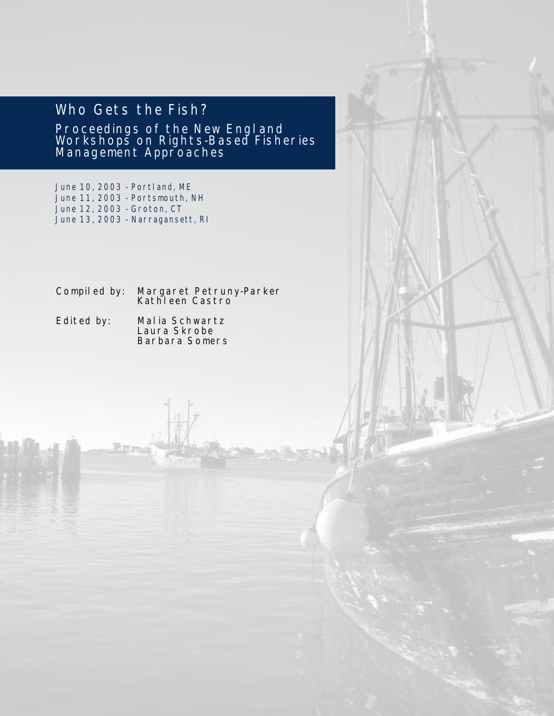# Who Gets the Fish?

Proceedings of the New England Workshops on Rights-Based Fisheries Management Approaches

June 10, 2003 - Portland, ME June 11, 2003 - Portsmouth, NH June 12, 2003 - Groton, CT June 13, 2003 - Narragansett, RI

Compiled by: Margaret Petruny-Parker Kathleen Castro

Edited by: Malia Schwartz Laura Skrobe Barbara Somers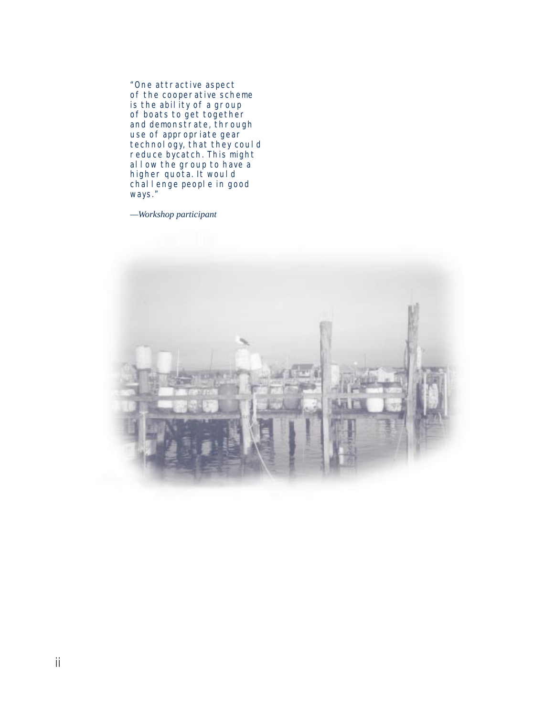"One attractive aspect of the cooperative scheme is the abil ity of a group of boats to get together and demonstrate, through use of appropriate gear technology, that they could reduce bycatch. This might allow the group to have a higher quota. It would chall enge people in good ways."

*—Workshop participant*

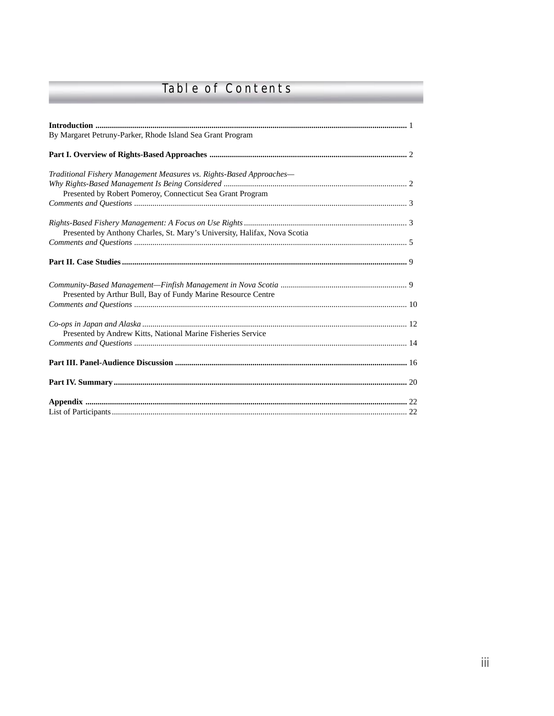# Table of Contents

| By Margaret Petruny-Parker, Rhode Island Sea Grant Program                                                                         |  |
|------------------------------------------------------------------------------------------------------------------------------------|--|
|                                                                                                                                    |  |
| Traditional Fishery Management Measures vs. Rights-Based Approaches-<br>Presented by Robert Pomeroy, Connecticut Sea Grant Program |  |
|                                                                                                                                    |  |
| Presented by Anthony Charles, St. Mary's University, Halifax, Nova Scotia                                                          |  |
|                                                                                                                                    |  |
|                                                                                                                                    |  |
| Presented by Arthur Bull, Bay of Fundy Marine Resource Centre                                                                      |  |
|                                                                                                                                    |  |
| Presented by Andrew Kitts, National Marine Fisheries Service                                                                       |  |
|                                                                                                                                    |  |
|                                                                                                                                    |  |
|                                                                                                                                    |  |
|                                                                                                                                    |  |
|                                                                                                                                    |  |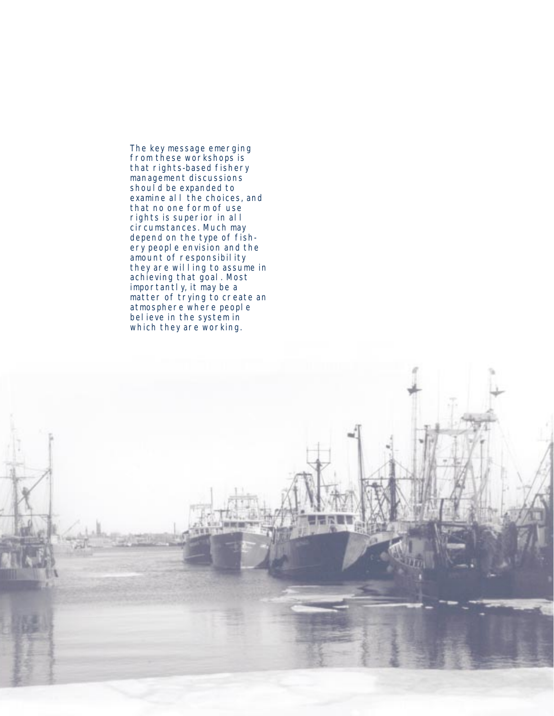The key message emerging from these workshops is that rights-based fishery management discussions should be expanded to examine all the choices, and that no one form of use rights is superior in all circumstances. Much may depend on the type of fishery people envision and the amount of responsibility they are willing to assume in achieving that goal. Most importantly, it may be a matter of trying to create an atmosphere where people believe in the system in which they are working.

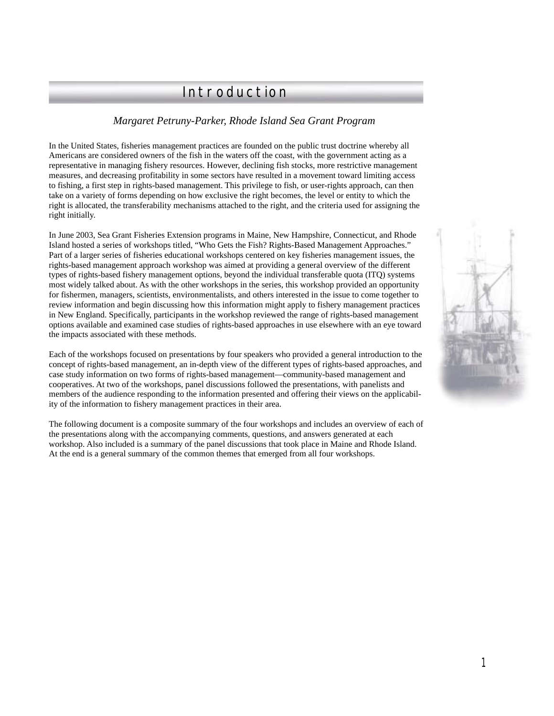# Introduction

# *Margaret Petruny-Parker, Rhode Island Sea Grant Program*

In the United States, fisheries management practices are founded on the public trust doctrine whereby all Americans are considered owners of the fish in the waters off the coast, with the government acting as a representative in managing fishery resources. However, declining fish stocks, more restrictive management measures, and decreasing profitability in some sectors have resulted in a movement toward limiting access to fishing, a first step in rights-based management. This privilege to fish, or user-rights approach, can then take on a variety of forms depending on how exclusive the right becomes, the level or entity to which the right is allocated, the transferability mechanisms attached to the right, and the criteria used for assigning the right initially.

In June 2003, Sea Grant Fisheries Extension programs in Maine, New Hampshire, Connecticut, and Rhode Island hosted a series of workshops titled, "Who Gets the Fish? Rights-Based Management Approaches." Part of a larger series of fisheries educational workshops centered on key fisheries management issues, the rights-based management approach workshop was aimed at providing a general overview of the different types of rights-based fishery management options, beyond the individual transferable quota (ITQ) systems most widely talked about. As with the other workshops in the series, this workshop provided an opportunity for fishermen, managers, scientists, environmentalists, and others interested in the issue to come together to review information and begin discussing how this information might apply to fishery management practices in New England. Specifically, participants in the workshop reviewed the range of rights-based management options available and examined case studies of rights-based approaches in use elsewhere with an eye toward the impacts associated with these methods.

Each of the workshops focused on presentations by four speakers who provided a general introduction to the concept of rights-based management, an in-depth view of the different types of rights-based approaches, and case study information on two forms of rights-based management—community-based management and cooperatives. At two of the workshops, panel discussions followed the presentations, with panelists and members of the audience responding to the information presented and offering their views on the applicability of the information to fishery management practices in their area.

The following document is a composite summary of the four workshops and includes an overview of each of the presentations along with the accompanying comments, questions, and answers generated at each workshop. Also included is a summary of the panel discussions that took place in Maine and Rhode Island. At the end is a general summary of the common themes that emerged from all four workshops.

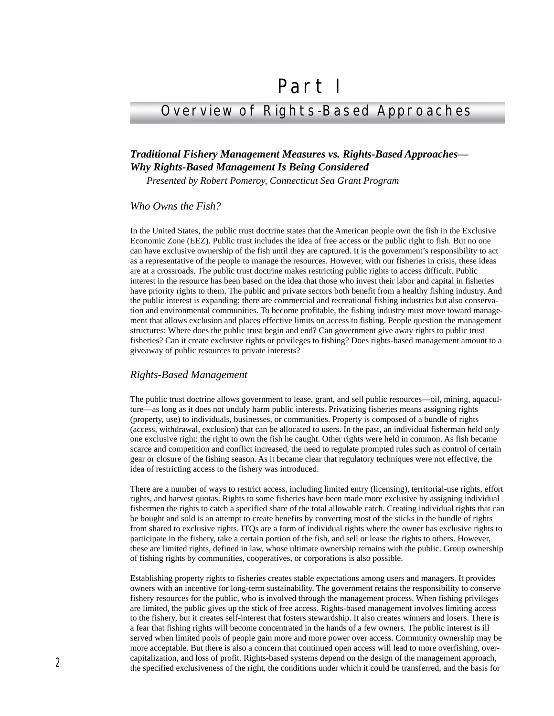# Part I

# Overview of Rights-Based Approaches

# *Traditional Fishery Management Measures vs. Rights-Based Approaches— Why Rights-Based Management Is Being Considered*

*Presented by Robert Pomeroy, Connecticut Sea Grant Program*

#### *Who Owns the Fish?*

In the United States, the public trust doctrine states that the American people own the fish in the Exclusive Economic Zone (EEZ). Public trust includes the idea of free access or the public right to fish. But no one can have exclusive ownership of the fish until they are captured. It is the government's responsibility to act as a representative of the people to manage the resources. However, with our fisheries in crisis, these ideas are at a crossroads. The public trust doctrine makes restricting public rights to access difficult. Public interest in the resource has been based on the idea that those who invest their labor and capital in fisheries have priority rights to them. The public and private sectors both benefit from a healthy fishing industry. And the public interest is expanding; there are commercial and recreational fishing industries but also conservation and environmental communities. To become profitable, the fishing industry must move toward management that allows exclusion and places effective limits on access to fishing. People question the management structures: Where does the public trust begin and end? Can government give away rights to public trust fisheries? Can it create exclusive rights or privileges to fishing? Does rights-based management amount to a giveaway of public resources to private interests?

#### *Rights-Based Management*

The public trust doctrine allows government to lease, grant, and sell public resources—oil, mining, aquaculture—as long as it does not unduly harm public interests. Privatizing fisheries means assigning rights (property, use) to individuals, businesses, or communities. Property is composed of a bundle of rights (access, withdrawal, exclusion) that can be allocated to users. In the past, an individual fisherman held only one exclusive right: the right to own the fish he caught. Other rights were held in common. As fish became scarce and competition and conflict increased, the need to regulate prompted rules such as control of certain gear or closure of the fishing season. As it became clear that regulatory techniques were not effective, the idea of restricting access to the fishery was introduced.

There are a number of ways to restrict access, including limited entry (licensing), territorial-use rights, effort rights, and harvest quotas. Rights to some fisheries have been made more exclusive by assigning individual fishermen the rights to catch a specified share of the total allowable catch. Creating individual rights that can be bought and sold is an attempt to create benefits by converting most of the sticks in the bundle of rights from shared to exclusive rights. ITQs are a form of individual rights where the owner has exclusive rights to participate in the fishery, take a certain portion of the fish, and sell or lease the rights to others. However, these are limited rights, defined in law, whose ultimate ownership remains with the public. Group ownership of fishing rights by communities, cooperatives, or corporations is also possible.

Establishing property rights to fisheries creates stable expectations among users and managers. It provides owners with an incentive for long-term sustainability. The government retains the responsibility to conserve fishery resources for the public, who is involved through the management process. When fishing privileges are limited, the public gives up the stick of free access. Rights-based management involves limiting access to the fishery, but it creates self-interest that fosters stewardship. It also creates winners and losers. There is a fear that fishing rights will become concentrated in the hands of a few owners. The public interest is ill served when limited pools of people gain more and more power over access. Community ownership may be more acceptable. But there is also a concern that continued open access will lead to more overfishing, overcapitalization, and loss of profit. Rights-based systems depend on the design of the management approach, the specified exclusiveness of the right, the conditions under which it could be transferred, and the basis for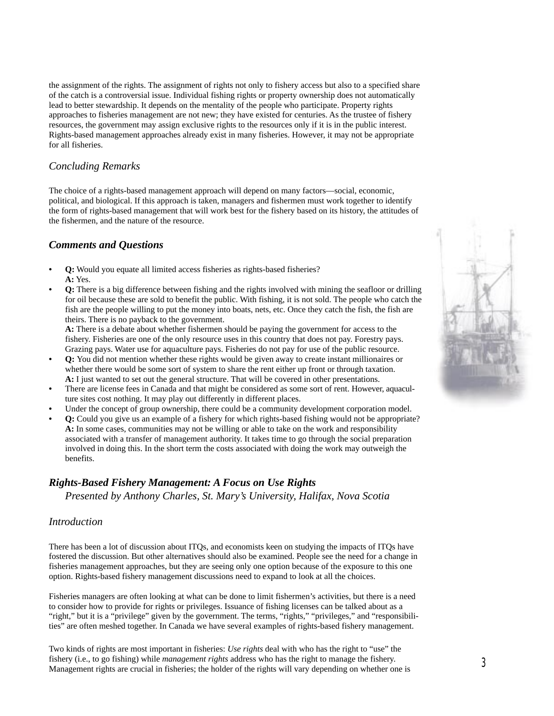the assignment of the rights. The assignment of rights not only to fishery access but also to a specified share of the catch is a controversial issue. Individual fishing rights or property ownership does not automatically lead to better stewardship. It depends on the mentality of the people who participate. Property rights approaches to fisheries management are not new; they have existed for centuries. As the trustee of fishery resources, the government may assign exclusive rights to the resources only if it is in the public interest. Rights-based management approaches already exist in many fisheries. However, it may not be appropriate for all fisheries.

#### *Concluding Remarks*

The choice of a rights-based management approach will depend on many factors—social, economic, political, and biological. If this approach is taken, managers and fishermen must work together to identify the form of rights-based management that will work best for the fishery based on its history, the attitudes of the fishermen, and the nature of the resource.

## *Comments and Questions*

- **Q:** Would you equate all limited access fisheries as rights-based fisheries? **A:** Yes.
- **Q:** There is a big difference between fishing and the rights involved with mining the seafloor or drilling for oil because these are sold to benefit the public. With fishing, it is not sold. The people who catch the fish are the people willing to put the money into boats, nets, etc. Once they catch the fish, the fish are theirs. There is no payback to the government.

**A:** There is a debate about whether fishermen should be paying the government for access to the fishery. Fisheries are one of the only resource uses in this country that does not pay. Forestry pays. Grazing pays. Water use for aquaculture pays. Fisheries do not pay for use of the public resource.

- **Q:** You did not mention whether these rights would be given away to create instant millionaires or whether there would be some sort of system to share the rent either up front or through taxation. **A:** I just wanted to set out the general structure. That will be covered in other presentations.
- **•** There are license fees in Canada and that might be considered as some sort of rent. However, aquaculture sites cost nothing. It may play out differently in different places.
- Under the concept of group ownership, there could be a community development corporation model.
- **Q:** Could you give us an example of a fishery for which rights-based fishing would not be appropriate? **A:** In some cases, communities may not be willing or able to take on the work and responsibility associated with a transfer of management authority. It takes time to go through the social preparation involved in doing this. In the short term the costs associated with doing the work may outweigh the benefits.

# *Rights-Based Fishery Management: A Focus on Use Rights*

*Presented by Anthony Charles, St. Mary's University, Halifax, Nova Scotia*

## *Introduction*

There has been a lot of discussion about ITQs, and economists keen on studying the impacts of ITQs have fostered the discussion. But other alternatives should also be examined. People see the need for a change in fisheries management approaches, but they are seeing only one option because of the exposure to this one option. Rights-based fishery management discussions need to expand to look at all the choices.

Fisheries managers are often looking at what can be done to limit fishermen's activities, but there is a need to consider how to provide for rights or privileges. Issuance of fishing licenses can be talked about as a "right," but it is a "privilege" given by the government. The terms, "rights," "privileges," and "responsibilities" are often meshed together. In Canada we have several examples of rights-based fishery management.

Two kinds of rights are most important in fisheries: *Use rights* deal with who has the right to "use" the fishery (i.e., to go fishing) while *management rights* address who has the right to manage the fishery. Management rights are crucial in fisheries; the holder of the rights will vary depending on whether one is

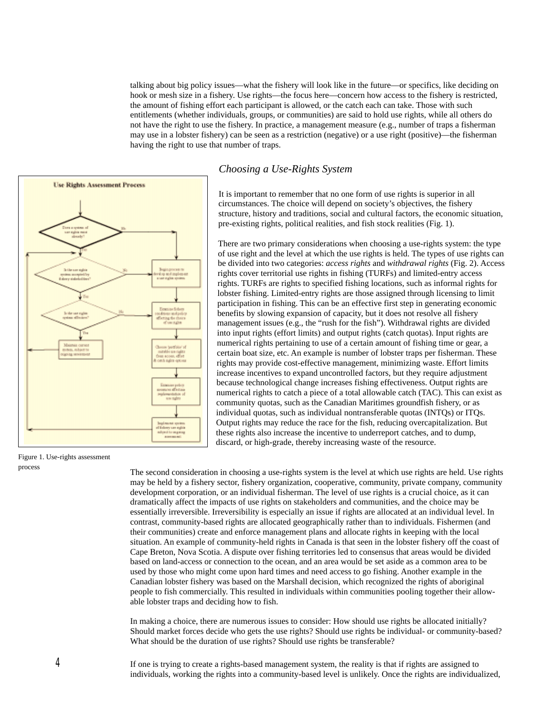talking about big policy issues—what the fishery will look like in the future—or specifics, like deciding on hook or mesh size in a fishery. Use rights—the focus here—concern how access to the fishery is restricted, the amount of fishing effort each participant is allowed, or the catch each can take. Those with such entitlements (whether individuals, groups, or communities) are said to hold use rights, while all others do not have the right to use the fishery. In practice, a management measure (e.g., number of traps a fisherman may use in a lobster fishery) can be seen as a restriction (negative) or a use right (positive)—the fisherman having the right to use that number of traps.



#### *Choosing a Use-Rights System*

It is important to remember that no one form of use rights is superior in all circumstances. The choice will depend on society's objectives, the fishery structure, history and traditions, social and cultural factors, the economic situation, pre-existing rights, political realities, and fish stock realities (Fig. 1).

There are two primary considerations when choosing a use-rights system: the type of use right and the level at which the use rights is held. The types of use rights can be divided into two categories: *access rights* and *withdrawal rights* (Fig. 2). Access rights cover territorial use rights in fishing (TURFs) and limited-entry access rights. TURFs are rights to specified fishing locations, such as informal rights for lobster fishing. Limited-entry rights are those assigned through licensing to limit participation in fishing. This can be an effective first step in generating economic benefits by slowing expansion of capacity, but it does not resolve all fishery management issues (e.g., the "rush for the fish"). Withdrawal rights are divided into input rights (effort limits) and output rights (catch quotas). Input rights are numerical rights pertaining to use of a certain amount of fishing time or gear, a certain boat size, etc. An example is number of lobster traps per fisherman. These rights may provide cost-effective management, minimizing waste. Effort limits increase incentives to expand uncontrolled factors, but they require adjustment because technological change increases fishing effectiveness. Output rights are numerical rights to catch a piece of a total allowable catch (TAC). This can exist as community quotas, such as the Canadian Maritimes groundfish fishery, or as individual quotas, such as individual nontransferable quotas (INTQs) or ITQs. Output rights may reduce the race for the fish, reducing overcapitalization. But these rights also increase the incentive to underreport catches, and to dump, discard, or high-grade, thereby increasing waste of the resource.

Figure 1. Use-rights assessment process

The second consideration in choosing a use-rights system is the level at which use rights are held. Use rights may be held by a fishery sector, fishery organization, cooperative, community, private company, community development corporation, or an individual fisherman. The level of use rights is a crucial choice, as it can dramatically affect the impacts of use rights on stakeholders and communities, and the choice may be essentially irreversible. Irreversibility is especially an issue if rights are allocated at an individual level. In contrast, community-based rights are allocated geographically rather than to individuals. Fishermen (and their communities) create and enforce management plans and allocate rights in keeping with the local situation. An example of community-held rights in Canada is that seen in the lobster fishery off the coast of Cape Breton, Nova Scotia. A dispute over fishing territories led to consensus that areas would be divided based on land-access or connection to the ocean, and an area would be set aside as a common area to be used by those who might come upon hard times and need access to go fishing. Another example in the Canadian lobster fishery was based on the Marshall decision, which recognized the rights of aboriginal people to fish commercially. This resulted in individuals within communities pooling together their allowable lobster traps and deciding how to fish.

In making a choice, there are numerous issues to consider: How should use rights be allocated initially? Should market forces decide who gets the use rights? Should use rights be individual- or community-based? What should be the duration of use rights? Should use rights be transferable?

*4*

If one is trying to create a rights-based management system, the reality is that if rights are assigned to individuals, working the rights into a community-based level is unlikely. Once the rights are individualized,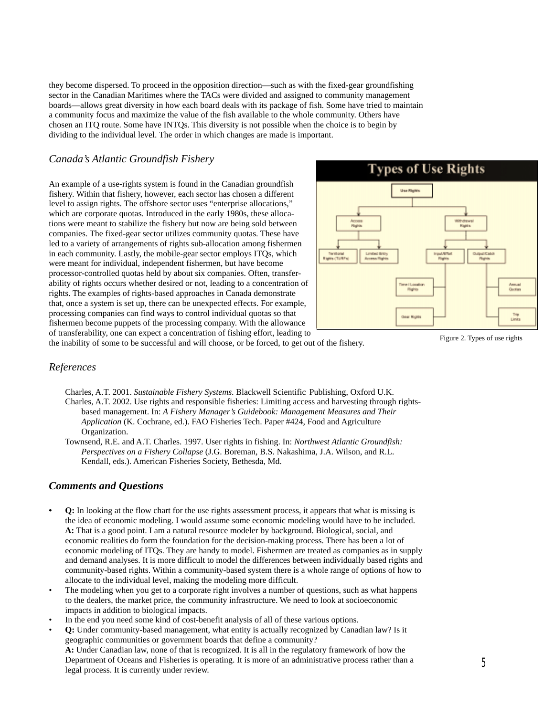they become dispersed. To proceed in the opposition direction—such as with the fixed-gear groundfishing sector in the Canadian Maritimes where the TACs were divided and assigned to community management boards—allows great diversity in how each board deals with its package of fish. Some have tried to maintain a community focus and maximize the value of the fish available to the whole community. Others have chosen an ITQ route. Some have INTQs. This diversity is not possible when the choice is to begin by dividing to the individual level. The order in which changes are made is important.

## *Canada's Atlantic Groundfish Fishery*

An example of a use-rights system is found in the Canadian groundfish fishery. Within that fishery, however, each sector has chosen a different level to assign rights. The offshore sector uses "enterprise allocations," which are corporate quotas. Introduced in the early 1980s, these allocations were meant to stabilize the fishery but now are being sold between companies. The fixed-gear sector utilizes community quotas. These have led to a variety of arrangements of rights sub-allocation among fishermen in each community. Lastly, the mobile-gear sector employs ITQs, which were meant for individual, independent fishermen, but have become processor-controlled quotas held by about six companies. Often, transferability of rights occurs whether desired or not, leading to a concentration of rights. The examples of rights-based approaches in Canada demonstrate that, once a system is set up, there can be unexpected effects. For example, processing companies can find ways to control individual quotas so that fishermen become puppets of the processing company. With the allowance of transferability, one can expect a concentration of fishing effort, leading to



the inability of some to be successful and will choose, or be forced, to get out of the fishery.

Figure 2. Types of use rights

# *References*

- Charles, A.T. 2001. *Sustainable Fishery Systems*. Blackwell Scientific Publishing, Oxford U.K.
- Charles, A.T. 2002. Use rights and responsible fisheries: Limiting access and harvesting through rightsbased management. In: *A Fishery Manager's Guidebook: Management Measures and Their Application* (K. Cochrane, ed.). FAO Fisheries Tech. Paper #424, Food and Agriculture Organization.
- Townsend, R.E. and A.T. Charles. 1997. User rights in fishing. In: *Northwest Atlantic Groundfish: Perspectives on a Fishery Collapse* (J.G. Boreman, B.S. Nakashima, J.A. Wilson, and R.L. Kendall, eds.). American Fisheries Society, Bethesda, Md.

#### *Comments and Questions*

- **Q:** In looking at the flow chart for the use rights assessment process, it appears that what is missing is the idea of economic modeling. I would assume some economic modeling would have to be included. **A:** That is a good point. I am a natural resource modeler by background. Biological, social, and economic realities do form the foundation for the decision-making process. There has been a lot of economic modeling of ITQs. They are handy to model. Fishermen are treated as companies as in supply and demand analyses. It is more difficult to model the differences between individually based rights and community-based rights. Within a community-based system there is a whole range of options of how to allocate to the individual level, making the modeling more difficult.
- The modeling when you get to a corporate right involves a number of questions, such as what happens to the dealers, the market price, the community infrastructure. We need to look at socioeconomic impacts in addition to biological impacts.
- In the end you need some kind of cost-benefit analysis of all of these various options.
- **Q:** Under community-based management, what entity is actually recognized by Canadian law? Is it geographic communities or government boards that define a community? **A:** Under Canadian law, none of that is recognized. It is all in the regulatory framework of how the Department of Oceans and Fisheries is operating. It is more of an administrative process rather than a legal process. It is currently under review.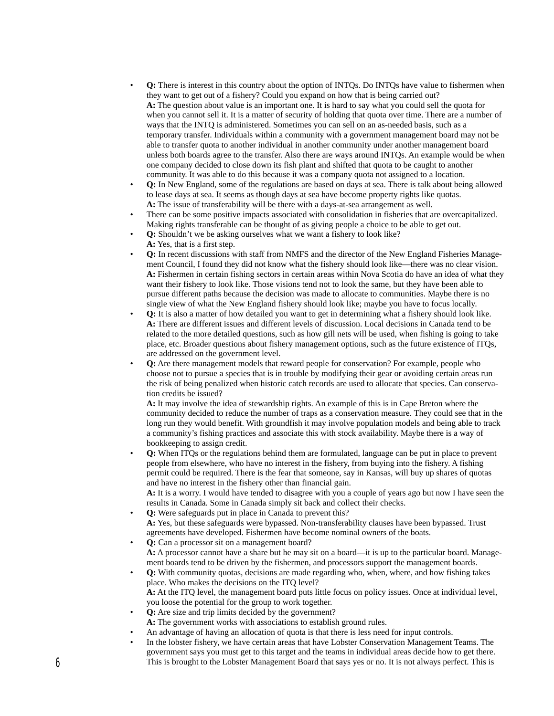- **Q:** There is interest in this country about the option of INTQs. Do INTQs have value to fishermen when they want to get out of a fishery? Could you expand on how that is being carried out? **A:** The question about value is an important one. It is hard to say what you could sell the quota for when you cannot sell it. It is a matter of security of holding that quota over time. There are a number of ways that the INTQ is administered. Sometimes you can sell on an as-needed basis, such as a temporary transfer. Individuals within a community with a government management board may not be able to transfer quota to another individual in another community under another management board unless both boards agree to the transfer. Also there are ways around INTQs. An example would be when one company decided to close down its fish plant and shifted that quota to be caught to another community. It was able to do this because it was a company quota not assigned to a location.
- **Q:** In New England, some of the regulations are based on days at sea. There is talk about being allowed to lease days at sea. It seems as though days at sea have become property rights like quotas. **A:** The issue of transferability will be there with a days-at-sea arrangement as well.
- There can be some positive impacts associated with consolidation in fisheries that are overcapitalized. Making rights transferable can be thought of as giving people a choice to be able to get out.
- **Q:** Shouldn't we be asking ourselves what we want a fishery to look like? **A:** Yes, that is a first step.
- **Q:** In recent discussions with staff from NMFS and the director of the New England Fisheries Management Council, I found they did not know what the fishery should look like—there was no clear vision. **A:** Fishermen in certain fishing sectors in certain areas within Nova Scotia do have an idea of what they want their fishery to look like. Those visions tend not to look the same, but they have been able to pursue different paths because the decision was made to allocate to communities. Maybe there is no single view of what the New England fishery should look like; maybe you have to focus locally.
- **Q:** It is also a matter of how detailed you want to get in determining what a fishery should look like. **A:** There are different issues and different levels of discussion. Local decisions in Canada tend to be related to the more detailed questions, such as how gill nets will be used, when fishing is going to take place, etc. Broader questions about fishery management options, such as the future existence of ITQs, are addressed on the government level.
- **Q:** Are there management models that reward people for conservation? For example, people who choose not to pursue a species that is in trouble by modifying their gear or avoiding certain areas run the risk of being penalized when historic catch records are used to allocate that species. Can conservation credits be issued?

**A:** It may involve the idea of stewardship rights. An example of this is in Cape Breton where the community decided to reduce the number of traps as a conservation measure. They could see that in the long run they would benefit. With groundfish it may involve population models and being able to track a community's fishing practices and associate this with stock availability. Maybe there is a way of bookkeeping to assign credit.

- **Q:** When ITQs or the regulations behind them are formulated, language can be put in place to prevent people from elsewhere, who have no interest in the fishery, from buying into the fishery. A fishing permit could be required. There is the fear that someone, say in Kansas, will buy up shares of quotas and have no interest in the fishery other than financial gain. **A:** It is a worry. I would have tended to disagree with you a couple of years ago but now I have seen the results in Canada. Some in Canada simply sit back and collect their checks.
- **Q:** Were safeguards put in place in Canada to prevent this? **A:** Yes, but these safeguards were bypassed. Non-transferability clauses have been bypassed. Trust agreements have developed. Fishermen have become nominal owners of the boats.
- **Q:** Can a processor sit on a management board? **A:** A processor cannot have a share but he may sit on a board—it is up to the particular board. Management boards tend to be driven by the fishermen, and processors support the management boards.
- **Q:** With community quotas, decisions are made regarding who, when, where, and how fishing takes place. Who makes the decisions on the ITQ level? **A:** At the ITQ level, the management board puts little focus on policy issues. Once at individual level, you loose the potential for the group to work together.
- **Q:** Are size and trip limits decided by the government?
- **A:** The government works with associations to establish ground rules.
- An advantage of having an allocation of quota is that there is less need for input controls.
- In the lobster fishery, we have certain areas that have Lobster Conservation Management Teams. The government says you must get to this target and the teams in individual areas decide how to get there. This is brought to the Lobster Management Board that says yes or no. It is not always perfect. This is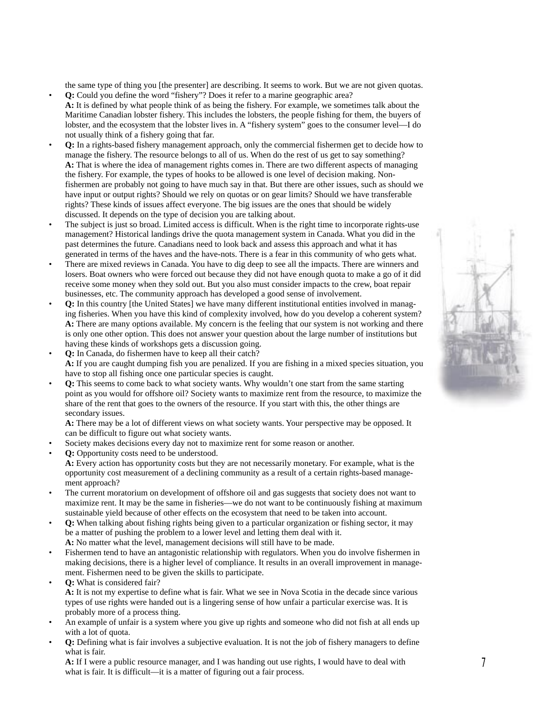the same type of thing you [the presenter] are describing. It seems to work. But we are not given quotas.

- **Q:** Could you define the word "fishery"? Does it refer to a marine geographic area? **A:** It is defined by what people think of as being the fishery. For example, we sometimes talk about the Maritime Canadian lobster fishery. This includes the lobsters, the people fishing for them, the buyers of lobster, and the ecosystem that the lobster lives in. A "fishery system" goes to the consumer level—I do not usually think of a fishery going that far.
- **Q:** In a rights-based fishery management approach, only the commercial fishermen get to decide how to manage the fishery. The resource belongs to all of us. When do the rest of us get to say something? **A:** That is where the idea of management rights comes in. There are two different aspects of managing the fishery. For example, the types of hooks to be allowed is one level of decision making. Nonfishermen are probably not going to have much say in that. But there are other issues, such as should we have input or output rights? Should we rely on quotas or on gear limits? Should we have transferable rights? These kinds of issues affect everyone. The big issues are the ones that should be widely discussed. It depends on the type of decision you are talking about.
- The subject is just so broad. Limited access is difficult. When is the right time to incorporate rights-use management? Historical landings drive the quota management system in Canada. What you did in the past determines the future. Canadians need to look back and assess this approach and what it has generated in terms of the haves and the have-nots. There is a fear in this community of who gets what.
- There are mixed reviews in Canada. You have to dig deep to see all the impacts. There are winners and losers. Boat owners who were forced out because they did not have enough quota to make a go of it did receive some money when they sold out. But you also must consider impacts to the crew, boat repair businesses, etc. The community approach has developed a good sense of involvement.
- **Q:** In this country [the United States] we have many different institutional entities involved in managing fisheries. When you have this kind of complexity involved, how do you develop a coherent system? A: There are many options available. My concern is the feeling that our system is not working and there is only one other option. This does not answer your question about the large number of institutions but having these kinds of workshops gets a discussion going.
- **Q:** In Canada, do fishermen have to keep all their catch? **A:** If you are caught dumping fish you are penalized. If you are fishing in a mixed species situation, you have to stop all fishing once one particular species is caught.
- **Q:** This seems to come back to what society wants. Why wouldn't one start from the same starting point as you would for offshore oil? Society wants to maximize rent from the resource, to maximize the share of the rent that goes to the owners of the resource. If you start with this, the other things are secondary issues.

**A:** There may be a lot of different views on what society wants. Your perspective may be opposed. It can be difficult to figure out what society wants.

- Society makes decisions every day not to maximize rent for some reason or another.
- **Q:** Opportunity costs need to be understood. **A:** Every action has opportunity costs but they are not necessarily monetary. For example, what is the opportunity cost measurement of a declining community as a result of a certain rights-based management approach?
- The current moratorium on development of offshore oil and gas suggests that society does not want to maximize rent. It may be the same in fisheries—we do not want to be continuously fishing at maximum sustainable yield because of other effects on the ecosystem that need to be taken into account.
- **Q:** When talking about fishing rights being given to a particular organization or fishing sector, it may be a matter of pushing the problem to a lower level and letting them deal with it. **A:** No matter what the level, management decisions will still have to be made.
- Fishermen tend to have an antagonistic relationship with regulators. When you do involve fishermen in making decisions, there is a higher level of compliance. It results in an overall improvement in management. Fishermen need to be given the skills to participate.
- **Q:** What is considered fair? **A:** It is not my expertise to define what is fair. What we see in Nova Scotia in the decade since various types of use rights were handed out is a lingering sense of how unfair a particular exercise was. It is probably more of a process thing.
- An example of unfair is a system where you give up rights and someone who did not fish at all ends up with a lot of quota.
- **Q:** Defining what is fair involves a subjective evaluation. It is not the job of fishery managers to define what is fair.

**A:** If I were a public resource manager, and I was handing out use rights, I would have to deal with what is fair. It is difficult—it is a matter of figuring out a fair process.

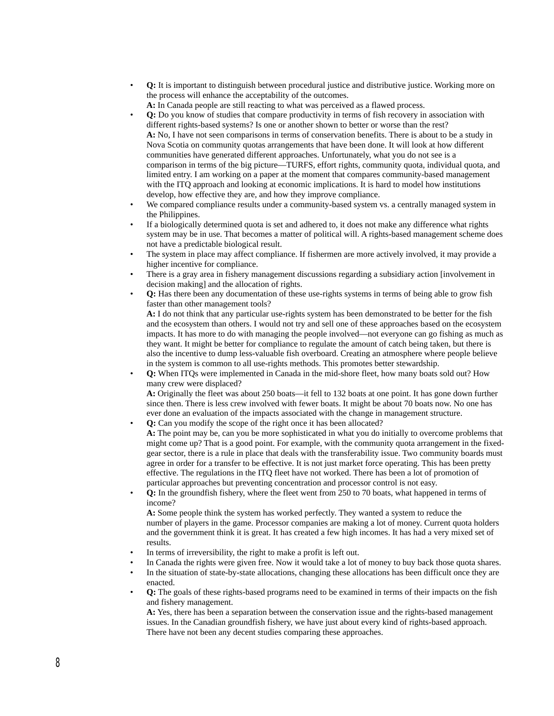- **Q:** It is important to distinguish between procedural justice and distributive justice. Working more on the process will enhance the acceptability of the outcomes.
	- **A:** In Canada people are still reacting to what was perceived as a flawed process.
- **Q:** Do you know of studies that compare productivity in terms of fish recovery in association with different rights-based systems? Is one or another shown to better or worse than the rest? **A:** No, I have not seen comparisons in terms of conservation benefits. There is about to be a study in Nova Scotia on community quotas arrangements that have been done. It will look at how different communities have generated different approaches. Unfortunately, what you do not see is a comparison in terms of the big picture—TURFS, effort rights, community quota, individual quota, and limited entry. I am working on a paper at the moment that compares community-based management with the ITQ approach and looking at economic implications. It is hard to model how institutions develop, how effective they are, and how they improve compliance.
- We compared compliance results under a community-based system vs. a centrally managed system in the Philippines.
- If a biologically determined quota is set and adhered to, it does not make any difference what rights system may be in use. That becomes a matter of political will. A rights-based management scheme does not have a predictable biological result.
- The system in place may affect compliance. If fishermen are more actively involved, it may provide a higher incentive for compliance.
- There is a gray area in fishery management discussions regarding a subsidiary action [involvement in decision making] and the allocation of rights.
- **Q:** Has there been any documentation of these use-rights systems in terms of being able to grow fish faster than other management tools?

**A:** I do not think that any particular use-rights system has been demonstrated to be better for the fish and the ecosystem than others. I would not try and sell one of these approaches based on the ecosystem impacts. It has more to do with managing the people involved—not everyone can go fishing as much as they want. It might be better for compliance to regulate the amount of catch being taken, but there is also the incentive to dump less-valuable fish overboard. Creating an atmosphere where people believe in the system is common to all use-rights methods. This promotes better stewardship.

• **Q:** When ITQs were implemented in Canada in the mid-shore fleet, how many boats sold out? How many crew were displaced? **A:** Originally the fleet was about 250 boats—it fell to 132 boats at one point. It has gone down further

since then. There is less crew involved with fewer boats. It might be about 70 boats now. No one has ever done an evaluation of the impacts associated with the change in management structure.

- **Q:** Can you modify the scope of the right once it has been allocated? **A:** The point may be, can you be more sophisticated in what you do initially to overcome problems that might come up? That is a good point. For example, with the community quota arrangement in the fixedgear sector, there is a rule in place that deals with the transferability issue. Two community boards must agree in order for a transfer to be effective. It is not just market force operating. This has been pretty effective. The regulations in the ITQ fleet have not worked. There has been a lot of promotion of particular approaches but preventing concentration and processor control is not easy.
- **Q:** In the groundfish fishery, where the fleet went from 250 to 70 boats, what happened in terms of income?

**A:** Some people think the system has worked perfectly. They wanted a system to reduce the number of players in the game. Processor companies are making a lot of money. Current quota holders and the government think it is great. It has created a few high incomes. It has had a very mixed set of results.

- In terms of irreversibility, the right to make a profit is left out.
- In Canada the rights were given free. Now it would take a lot of money to buy back those quota shares.
- In the situation of state-by-state allocations, changing these allocations has been difficult once they are enacted.
- **Q:** The goals of these rights-based programs need to be examined in terms of their impacts on the fish and fishery management.

**A:** Yes, there has been a separation between the conservation issue and the rights-based management issues. In the Canadian groundfish fishery, we have just about every kind of rights-based approach. There have not been any decent studies comparing these approaches.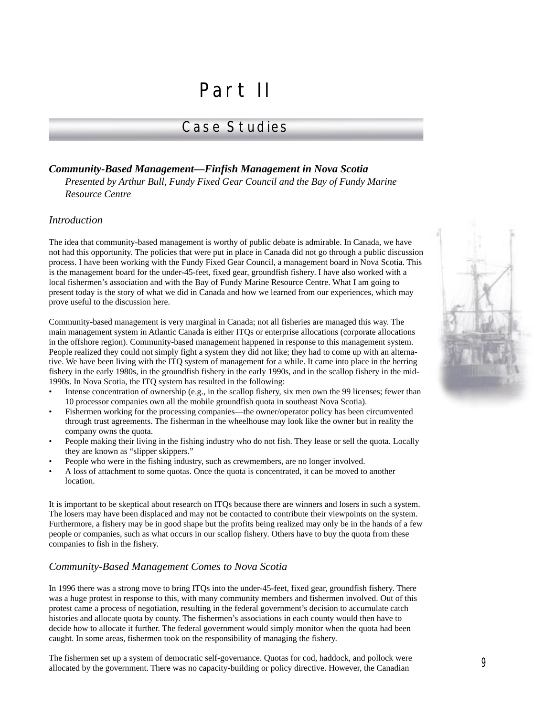# Part II

# Case Studies

## *Community-Based Management—Finfish Management in Nova Scotia*

*Presented by Arthur Bull, Fundy Fixed Gear Council and the Bay of Fundy Marine Resource Centre*

#### *Introduction*

The idea that community-based management is worthy of public debate is admirable. In Canada, we have not had this opportunity. The policies that were put in place in Canada did not go through a public discussion process. I have been working with the Fundy Fixed Gear Council, a management board in Nova Scotia. This is the management board for the under-45-feet, fixed gear, groundfish fishery. I have also worked with a local fishermen's association and with the Bay of Fundy Marine Resource Centre. What I am going to present today is the story of what we did in Canada and how we learned from our experiences, which may prove useful to the discussion here.

Community-based management is very marginal in Canada; not all fisheries are managed this way. The main management system in Atlantic Canada is either ITQs or enterprise allocations (corporate allocations in the offshore region). Community-based management happened in response to this management system. People realized they could not simply fight a system they did not like; they had to come up with an alternative. We have been living with the ITQ system of management for a while. It came into place in the herring fishery in the early 1980s, in the groundfish fishery in the early 1990s, and in the scallop fishery in the mid-1990s. In Nova Scotia, the ITQ system has resulted in the following:

- Intense concentration of ownership (e.g., in the scallop fishery, six men own the 99 licenses; fewer than 10 processor companies own all the mobile groundfish quota in southeast Nova Scotia).
- Fishermen working for the processing companies—the owner/operator policy has been circumvented through trust agreements. The fisherman in the wheelhouse may look like the owner but in reality the company owns the quota.
- People making their living in the fishing industry who do not fish. They lease or sell the quota. Locally they are known as "slipper skippers."
- People who were in the fishing industry, such as crewmembers, are no longer involved.
- A loss of attachment to some quotas. Once the quota is concentrated, it can be moved to another location.

It is important to be skeptical about research on ITQs because there are winners and losers in such a system. The losers may have been displaced and may not be contacted to contribute their viewpoints on the system. Furthermore, a fishery may be in good shape but the profits being realized may only be in the hands of a few people or companies, such as what occurs in our scallop fishery. Others have to buy the quota from these companies to fish in the fishery.

## *Community-Based Management Comes to Nova Scotia*

In 1996 there was a strong move to bring ITQs into the under-45-feet, fixed gear, groundfish fishery. There was a huge protest in response to this, with many community members and fishermen involved. Out of this protest came a process of negotiation, resulting in the federal government's decision to accumulate catch histories and allocate quota by county. The fishermen's associations in each county would then have to decide how to allocate it further. The federal government would simply monitor when the quota had been caught. In some areas, fishermen took on the responsibility of managing the fishery.

The fishermen set up a system of democratic self-governance. Quotas for cod, haddock, and pollock were allocated by the government. There was no capacity-building or policy directive. However, the Canadian

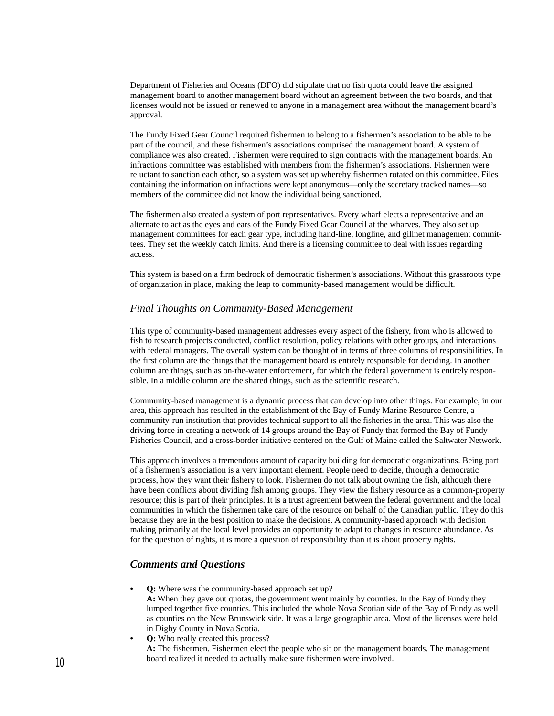Department of Fisheries and Oceans (DFO) did stipulate that no fish quota could leave the assigned management board to another management board without an agreement between the two boards, and that licenses would not be issued or renewed to anyone in a management area without the management board's approval.

The Fundy Fixed Gear Council required fishermen to belong to a fishermen's association to be able to be part of the council, and these fishermen's associations comprised the management board. A system of compliance was also created. Fishermen were required to sign contracts with the management boards. An infractions committee was established with members from the fishermen's associations. Fishermen were reluctant to sanction each other, so a system was set up whereby fishermen rotated on this committee. Files containing the information on infractions were kept anonymous—only the secretary tracked names—so members of the committee did not know the individual being sanctioned.

The fishermen also created a system of port representatives. Every wharf elects a representative and an alternate to act as the eyes and ears of the Fundy Fixed Gear Council at the wharves. They also set up management committees for each gear type, including hand-line, longline, and gillnet management committees. They set the weekly catch limits. And there is a licensing committee to deal with issues regarding access.

This system is based on a firm bedrock of democratic fishermen's associations. Without this grassroots type of organization in place, making the leap to community-based management would be difficult.

#### *Final Thoughts on Community-Based Management*

This type of community-based management addresses every aspect of the fishery, from who is allowed to fish to research projects conducted, conflict resolution, policy relations with other groups, and interactions with federal managers. The overall system can be thought of in terms of three columns of responsibilities. In the first column are the things that the management board is entirely responsible for deciding. In another column are things, such as on-the-water enforcement, for which the federal government is entirely responsible. In a middle column are the shared things, such as the scientific research.

Community-based management is a dynamic process that can develop into other things. For example, in our area, this approach has resulted in the establishment of the Bay of Fundy Marine Resource Centre, a community-run institution that provides technical support to all the fisheries in the area. This was also the driving force in creating a network of 14 groups around the Bay of Fundy that formed the Bay of Fundy Fisheries Council, and a cross-border initiative centered on the Gulf of Maine called the Saltwater Network.

This approach involves a tremendous amount of capacity building for democratic organizations. Being part of a fishermen's association is a very important element. People need to decide, through a democratic process, how they want their fishery to look. Fishermen do not talk about owning the fish, although there have been conflicts about dividing fish among groups. They view the fishery resource as a common-property resource; this is part of their principles. It is a trust agreement between the federal government and the local communities in which the fishermen take care of the resource on behalf of the Canadian public. They do this because they are in the best position to make the decisions. A community-based approach with decision making primarily at the local level provides an opportunity to adapt to changes in resource abundance. As for the question of rights, it is more a question of responsibility than it is about property rights.

#### *Comments and Questions*

**0:** Where was the community-based approach set up?

**A:** When they gave out quotas, the government went mainly by counties. In the Bay of Fundy they lumped together five counties. This included the whole Nova Scotian side of the Bay of Fundy as well as counties on the New Brunswick side. It was a large geographic area. Most of the licenses were held in Digby County in Nova Scotia.

**• Q:** Who really created this process?

**A:** The fishermen. Fishermen elect the people who sit on the management boards. The management board realized it needed to actually make sure fishermen were involved.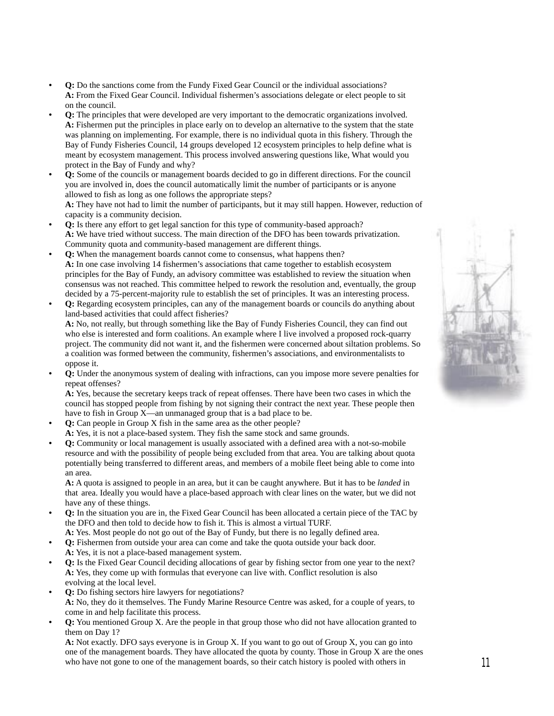- **Q:** Do the sanctions come from the Fundy Fixed Gear Council or the individual associations? **A:** From the Fixed Gear Council. Individual fishermen's associations delegate or elect people to sit on the council.
- **Q:** The principles that were developed are very important to the democratic organizations involved. **A:** Fishermen put the principles in place early on to develop an alternative to the system that the state was planning on implementing. For example, there is no individual quota in this fishery. Through the Bay of Fundy Fisheries Council, 14 groups developed 12 ecosystem principles to help define what is meant by ecosystem management. This process involved answering questions like, What would you protect in the Bay of Fundy and why?
- **Q:** Some of the councils or management boards decided to go in different directions. For the council you are involved in, does the council automatically limit the number of participants or is anyone allowed to fish as long as one follows the appropriate steps? **A:** They have not had to limit the number of participants, but it may still happen. However, reduction of capacity is a community decision.
- **Q:** Is there any effort to get legal sanction for this type of community-based approach? **A:** We have tried without success. The main direction of the DFO has been towards privatization. Community quota and community-based management are different things.
- **Q:** When the management boards cannot come to consensus, what happens then? **A:** In one case involving 14 fishermen's associations that came together to establish ecosystem principles for the Bay of Fundy, an advisory committee was established to review the situation when consensus was not reached. This committee helped to rework the resolution and, eventually, the group decided by a 75-percent-majority rule to establish the set of principles. It was an interesting process.
- **Q:** Regarding ecosystem principles, can any of the management boards or councils do anything about land-based activities that could affect fisheries? **A:** No, not really, but through something like the Bay of Fundy Fisheries Council, they can find out who else is interested and form coalitions. An example where I live involved a proposed rock-quarry project. The community did not want it, and the fishermen were concerned about siltation problems. So a coalition was formed between the community, fishermen's associations, and environmentalists to
- oppose it. **• Q:** Under the anonymous system of dealing with infractions, can you impose more severe penalties for repeat offenses?

**A:** Yes, because the secretary keeps track of repeat offenses. There have been two cases in which the council has stopped people from fishing by not signing their contract the next year. These people then have to fish in Group X—an unmanaged group that is a bad place to be.

- **Q:** Can people in Group X fish in the same area as the other people? **A:** Yes, it is not a place-based system. They fish the same stock and same grounds.
- **Q:** Community or local management is usually associated with a defined area with a not-so-mobile resource and with the possibility of people being excluded from that area. You are talking about quota potentially being transferred to different areas, and members of a mobile fleet being able to come into an area.

**A:** A quota is assigned to people in an area, but it can be caught anywhere. But it has to be *landed* in that area. Ideally you would have a place-based approach with clear lines on the water, but we did not have any of these things.

- **Q:** In the situation you are in, the Fixed Gear Council has been allocated a certain piece of the TAC by the DFO and then told to decide how to fish it. This is almost a virtual TURF.
- **A:** Yes. Most people do not go out of the Bay of Fundy, but there is no legally defined area.
- **Q:** Fishermen from outside your area can come and take the quota outside your back door. **A:** Yes, it is not a place-based management system.
- **Q:** Is the Fixed Gear Council deciding allocations of gear by fishing sector from one year to the next? **A:** Yes, they come up with formulas that everyone can live with. Conflict resolution is also evolving at the local level.
- **Q:** Do fishing sectors hire lawyers for negotiations? **A:** No, they do it themselves. The Fundy Marine Resource Centre was asked, for a couple of years, to come in and help facilitate this process.
- **Q:** You mentioned Group X. Are the people in that group those who did not have allocation granted to them on Day 1?

**A:** Not exactly. DFO says everyone is in Group X. If you want to go out of Group X, you can go into one of the management boards. They have allocated the quota by county. Those in Group X are the ones who have not gone to one of the management boards, so their catch history is pooled with others in

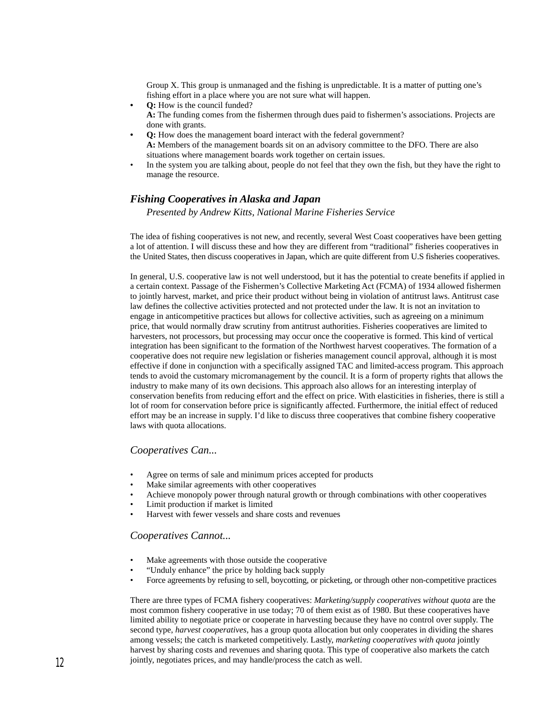Group X. This group is unmanaged and the fishing is unpredictable. It is a matter of putting one's fishing effort in a place where you are not sure what will happen.

- **Q:** How is the council funded? **A:** The funding comes from the fishermen through dues paid to fishermen's associations. Projects are done with grants.
- **Q:** How does the management board interact with the federal government? **A:** Members of the management boards sit on an advisory committee to the DFO. There are also situations where management boards work together on certain issues.
- In the system you are talking about, people do not feel that they own the fish, but they have the right to manage the resource.

## *Fishing Cooperatives in Alaska and Japan*

*Presented by Andrew Kitts, National Marine Fisheries Service*

The idea of fishing cooperatives is not new, and recently, several West Coast cooperatives have been getting a lot of attention. I will discuss these and how they are different from "traditional" fisheries cooperatives in the United States, then discuss cooperatives in Japan, which are quite different from U.S fisheries cooperatives.

In general, U.S. cooperative law is not well understood, but it has the potential to create benefits if applied in a certain context. Passage of the Fishermen's Collective Marketing Act (FCMA) of 1934 allowed fishermen to jointly harvest, market, and price their product without being in violation of antitrust laws. Antitrust case law defines the collective activities protected and not protected under the law. It is not an invitation to engage in anticompetitive practices but allows for collective activities, such as agreeing on a minimum price, that would normally draw scrutiny from antitrust authorities. Fisheries cooperatives are limited to harvesters, not processors, but processing may occur once the cooperative is formed. This kind of vertical integration has been significant to the formation of the Northwest harvest cooperatives. The formation of a cooperative does not require new legislation or fisheries management council approval, although it is most effective if done in conjunction with a specifically assigned TAC and limited-access program. This approach tends to avoid the customary micromanagement by the council. It is a form of property rights that allows the industry to make many of its own decisions. This approach also allows for an interesting interplay of conservation benefits from reducing effort and the effect on price. With elasticities in fisheries, there is still a lot of room for conservation before price is significantly affected. Furthermore, the initial effect of reduced effort may be an increase in supply. I'd like to discuss three cooperatives that combine fishery cooperative laws with quota allocations.

#### *Cooperatives Can...*

- Agree on terms of sale and minimum prices accepted for products
- Make similar agreements with other cooperatives
- Achieve monopoly power through natural growth or through combinations with other cooperatives
- Limit production if market is limited
- Harvest with fewer vessels and share costs and revenues

#### *Cooperatives Cannot...*

- Make agreements with those outside the cooperative
- "Unduly enhance" the price by holding back supply
- Force agreements by refusing to sell, boycotting, or picketing, or through other non-competitive practices

There are three types of FCMA fishery cooperatives: *Marketing/supply cooperatives without quota* are the most common fishery cooperative in use today; 70 of them exist as of 1980. But these cooperatives have limited ability to negotiate price or cooperate in harvesting because they have no control over supply. The second type, *harvest cooperatives,* has a group quota allocation but only cooperates in dividing the shares among vessels; the catch is marketed competitively. Lastly, *marketing cooperatives with quota* jointly harvest by sharing costs and revenues and sharing quota. This type of cooperative also markets the catch jointly, negotiates prices, and may handle/process the catch as well.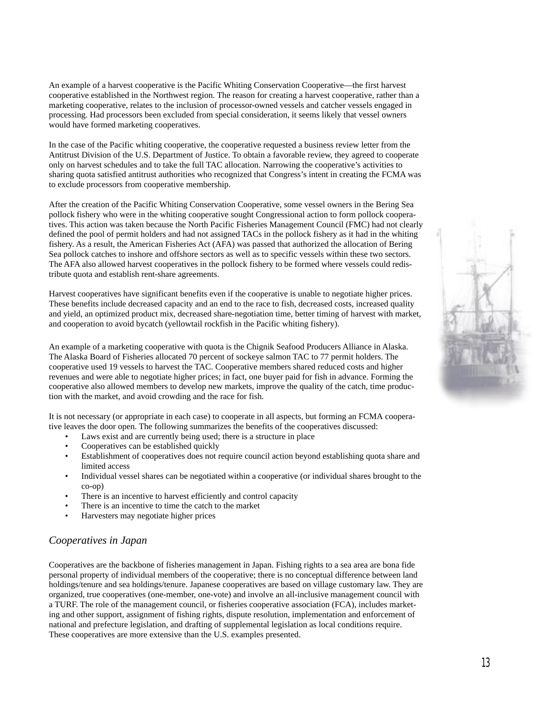An example of a harvest cooperative is the Pacific Whiting Conservation Cooperative—the first harvest cooperative established in the Northwest region. The reason for creating a harvest cooperative, rather than a marketing cooperative, relates to the inclusion of processor-owned vessels and catcher vessels engaged in processing. Had processors been excluded from special consideration, it seems likely that vessel owners would have formed marketing cooperatives.

In the case of the Pacific whiting cooperative, the cooperative requested a business review letter from the Antitrust Division of the U.S. Department of Justice. To obtain a favorable review, they agreed to cooperate only on harvest schedules and to take the full TAC allocation. Narrowing the cooperative's activities to sharing quota satisfied antitrust authorities who recognized that Congress's intent in creating the FCMA was to exclude processors from cooperative membership.

After the creation of the Pacific Whiting Conservation Cooperative, some vessel owners in the Bering Sea pollock fishery who were in the whiting cooperative sought Congressional action to form pollock cooperatives. This action was taken because the North Pacific Fisheries Management Council (FMC) had not clearly defined the pool of permit holders and had not assigned TACs in the pollock fishery as it had in the whiting fishery. As a result, the American Fisheries Act (AFA) was passed that authorized the allocation of Bering Sea pollock catches to inshore and offshore sectors as well as to specific vessels within these two sectors. The AFA also allowed harvest cooperatives in the pollock fishery to be formed where vessels could redistribute quota and establish rent-share agreements.

Harvest cooperatives have significant benefits even if the cooperative is unable to negotiate higher prices. These benefits include decreased capacity and an end to the race to fish, decreased costs, increased quality and yield, an optimized product mix, decreased share-negotiation time, better timing of harvest with market, and cooperation to avoid bycatch (yellowtail rockfish in the Pacific whiting fishery).

An example of a marketing cooperative with quota is the Chignik Seafood Producers Alliance in Alaska. The Alaska Board of Fisheries allocated 70 percent of sockeye salmon TAC to 77 permit holders. The cooperative used 19 vessels to harvest the TAC. Cooperative members shared reduced costs and higher revenues and were able to negotiate higher prices; in fact, one buyer paid for fish in advance. Forming the cooperative also allowed members to develop new markets, improve the quality of the catch, time production with the market, and avoid crowding and the race for fish.

It is not necessary (or appropriate in each case) to cooperate in all aspects, but forming an FCMA cooperative leaves the door open. The following summarizes the benefits of the cooperatives discussed:

- Laws exist and are currently being used; there is a structure in place
- Cooperatives can be established quickly
- Establishment of cooperatives does not require council action beyond establishing quota share and limited access
- Individual vessel shares can be negotiated within a cooperative (or individual shares brought to the co-op)
- There is an incentive to harvest efficiently and control capacity
- There is an incentive to time the catch to the market
- Harvesters may negotiate higher prices

## *Cooperatives in Japan*

Cooperatives are the backbone of fisheries management in Japan. Fishing rights to a sea area are bona fide personal property of individual members of the cooperative; there is no conceptual difference between land holdings/tenure and sea holdings/tenure. Japanese cooperatives are based on village customary law. They are organized, true cooperatives (one-member, one-vote) and involve an all-inclusive management council with a TURF. The role of the management council, or fisheries cooperative association (FCA), includes marketing and other support, assignment of fishing rights, dispute resolution, implementation and enforcement of national and prefecture legislation, and drafting of supplemental legislation as local conditions require. These cooperatives are more extensive than the U.S. examples presented.

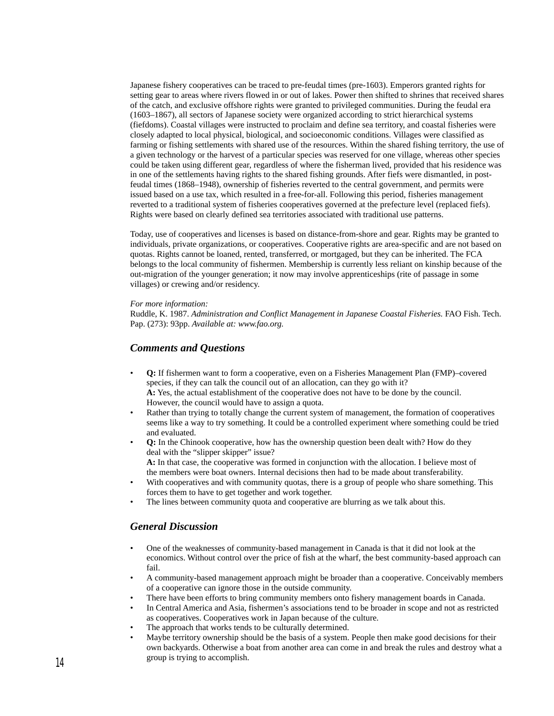Japanese fishery cooperatives can be traced to pre-feudal times (pre-1603). Emperors granted rights for setting gear to areas where rivers flowed in or out of lakes. Power then shifted to shrines that received shares of the catch, and exclusive offshore rights were granted to privileged communities. During the feudal era (1603–1867), all sectors of Japanese society were organized according to strict hierarchical systems (fiefdoms). Coastal villages were instructed to proclaim and define sea territory, and coastal fisheries were closely adapted to local physical, biological, and socioeconomic conditions. Villages were classified as farming or fishing settlements with shared use of the resources. Within the shared fishing territory, the use of a given technology or the harvest of a particular species was reserved for one village, whereas other species could be taken using different gear, regardless of where the fisherman lived, provided that his residence was in one of the settlements having rights to the shared fishing grounds. After fiefs were dismantled, in postfeudal times (1868–1948), ownership of fisheries reverted to the central government, and permits were issued based on a use tax, which resulted in a free-for-all. Following this period, fisheries management reverted to a traditional system of fisheries cooperatives governed at the prefecture level (replaced fiefs). Rights were based on clearly defined sea territories associated with traditional use patterns.

Today, use of cooperatives and licenses is based on distance-from-shore and gear. Rights may be granted to individuals, private organizations, or cooperatives. Cooperative rights are area-specific and are not based on quotas. Rights cannot be loaned, rented, transferred, or mortgaged, but they can be inherited. The FCA belongs to the local community of fishermen. Membership is currently less reliant on kinship because of the out-migration of the younger generation; it now may involve apprenticeships (rite of passage in some villages) or crewing and/or residency.

#### *For more information:*

Ruddle, K. 1987. *Administration and Conflict Management in Japanese Coastal Fisheries.* FAO Fish. Tech. Pap. (273): 93pp. *Available at: www.fao.org.*

#### *Comments and Questions*

- **Q:** If fishermen want to form a cooperative, even on a Fisheries Management Plan (FMP)–covered species, if they can talk the council out of an allocation, can they go with it? **A:** Yes, the actual establishment of the cooperative does not have to be done by the council. However, the council would have to assign a quota.
- Rather than trying to totally change the current system of management, the formation of cooperatives seems like a way to try something. It could be a controlled experiment where something could be tried and evaluated.
- **Q:** In the Chinook cooperative, how has the ownership question been dealt with? How do they deal with the "slipper skipper" issue? **A:** In that case, the cooperative was formed in conjunction with the allocation. I believe most of the members were boat owners. Internal decisions then had to be made about transferability.
- With cooperatives and with community quotas, there is a group of people who share something. This forces them to have to get together and work together.
- The lines between community quota and cooperative are blurring as we talk about this.

### *General Discussion*

- One of the weaknesses of community-based management in Canada is that it did not look at the economics. Without control over the price of fish at the wharf, the best community-based approach can fail.
- A community-based management approach might be broader than a cooperative. Conceivably members of a cooperative can ignore those in the outside community.
- There have been efforts to bring community members onto fishery management boards in Canada.
- In Central America and Asia, fishermen's associations tend to be broader in scope and not as restricted as cooperatives. Cooperatives work in Japan because of the culture.
- The approach that works tends to be culturally determined.
- Maybe territory ownership should be the basis of a system. People then make good decisions for their own backyards. Otherwise a boat from another area can come in and break the rules and destroy what a group is trying to accomplish.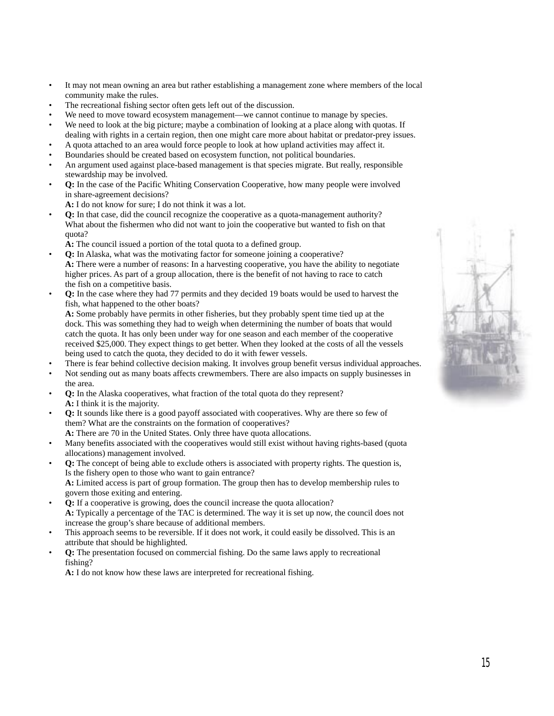- It may not mean owning an area but rather establishing a management zone where members of the local community make the rules.
- The recreational fishing sector often gets left out of the discussion.
- We need to move toward ecosystem management—we cannot continue to manage by species.
- We need to look at the big picture; maybe a combination of looking at a place along with quotas. If dealing with rights in a certain region, then one might care more about habitat or predator-prey issues.
- A quota attached to an area would force people to look at how upland activities may affect it.
- Boundaries should be created based on ecosystem function, not political boundaries.
- An argument used against place-based management is that species migrate. But really, responsible stewardship may be involved.
- **Q:** In the case of the Pacific Whiting Conservation Cooperative, how many people were involved in share-agreement decisions?
	- **A:** I do not know for sure; I do not think it was a lot.
- **Q:** In that case, did the council recognize the cooperative as a quota-management authority? What about the fishermen who did not want to join the cooperative but wanted to fish on that quota?
	- **A:** The council issued a portion of the total quota to a defined group.
- **Q:** In Alaska, what was the motivating factor for someone joining a cooperative? **A:** There were a number of reasons: In a harvesting cooperative, you have the ability to negotiate higher prices. As part of a group allocation, there is the benefit of not having to race to catch the fish on a competitive basis.
- **Q:** In the case where they had 77 permits and they decided 19 boats would be used to harvest the fish, what happened to the other boats?

**A:** Some probably have permits in other fisheries, but they probably spent time tied up at the dock. This was something they had to weigh when determining the number of boats that would catch the quota. It has only been under way for one season and each member of the cooperative received \$25,000. They expect things to get better. When they looked at the costs of all the vessels being used to catch the quota, they decided to do it with fewer vessels.

- There is fear behind collective decision making. It involves group benefit versus individual approaches.
- Not sending out as many boats affects crewmembers. There are also impacts on supply businesses in the area.
- **Q:** In the Alaska cooperatives, what fraction of the total quota do they represent? **A:** I think it is the majority.
- **Q:** It sounds like there is a good payoff associated with cooperatives. Why are there so few of them? What are the constraints on the formation of cooperatives?
- **A:** There are 70 in the United States. Only three have quota allocations.
- Many benefits associated with the cooperatives would still exist without having rights-based (quota allocations) management involved.
- **Q:** The concept of being able to exclude others is associated with property rights. The question is, Is the fishery open to those who want to gain entrance? **A:** Limited access is part of group formation. The group then has to develop membership rules to govern those exiting and entering.
- **Q:** If a cooperative is growing, does the council increase the quota allocation? **A:** Typically a percentage of the TAC is determined. The way it is set up now, the council does not increase the group's share because of additional members.
- This approach seems to be reversible. If it does not work, it could easily be dissolved. This is an attribute that should be highlighted.
- **Q:** The presentation focused on commercial fishing. Do the same laws apply to recreational fishing?

**A:** I do not know how these laws are interpreted for recreational fishing.

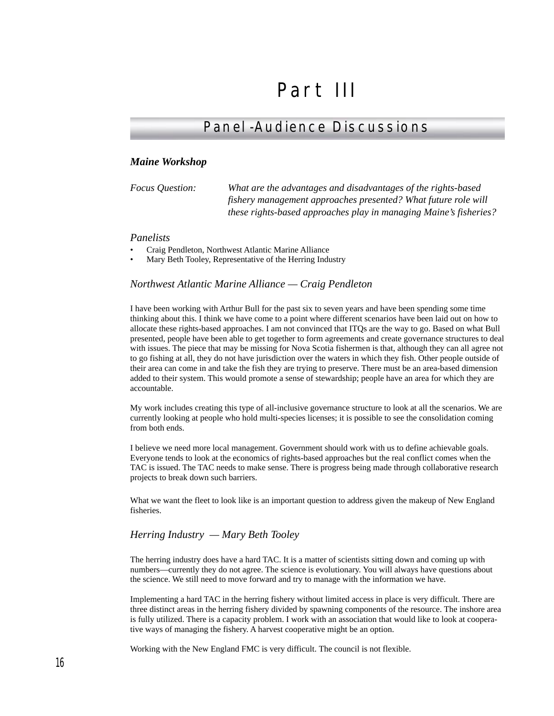# Part III

# Panel-Audience Discussions

#### *Maine Workshop*

*Focus Question: What are the advantages and disadvantages of the rights-based fishery management approaches presented? What future role will these rights-based approaches play in managing Maine's fisheries?*

#### *Panelists*

- Craig Pendleton, Northwest Atlantic Marine Alliance
- Mary Beth Tooley, Representative of the Herring Industry

#### *Northwest Atlantic Marine Alliance — Craig Pendleton*

I have been working with Arthur Bull for the past six to seven years and have been spending some time thinking about this. I think we have come to a point where different scenarios have been laid out on how to allocate these rights-based approaches. I am not convinced that ITQs are the way to go. Based on what Bull presented, people have been able to get together to form agreements and create governance structures to deal with issues. The piece that may be missing for Nova Scotia fishermen is that, although they can all agree not to go fishing at all, they do not have jurisdiction over the waters in which they fish. Other people outside of their area can come in and take the fish they are trying to preserve. There must be an area-based dimension added to their system. This would promote a sense of stewardship; people have an area for which they are accountable.

My work includes creating this type of all-inclusive governance structure to look at all the scenarios. We are currently looking at people who hold multi-species licenses; it is possible to see the consolidation coming from both ends.

I believe we need more local management. Government should work with us to define achievable goals. Everyone tends to look at the economics of rights-based approaches but the real conflict comes when the TAC is issued. The TAC needs to make sense. There is progress being made through collaborative research projects to break down such barriers.

What we want the fleet to look like is an important question to address given the makeup of New England fisheries.

#### *Herring Industry — Mary Beth Tooley*

The herring industry does have a hard TAC. It is a matter of scientists sitting down and coming up with numbers—currently they do not agree. The science is evolutionary. You will always have questions about the science. We still need to move forward and try to manage with the information we have.

Implementing a hard TAC in the herring fishery without limited access in place is very difficult. There are three distinct areas in the herring fishery divided by spawning components of the resource. The inshore area is fully utilized. There is a capacity problem. I work with an association that would like to look at cooperative ways of managing the fishery. A harvest cooperative might be an option.

Working with the New England FMC is very difficult. The council is not flexible.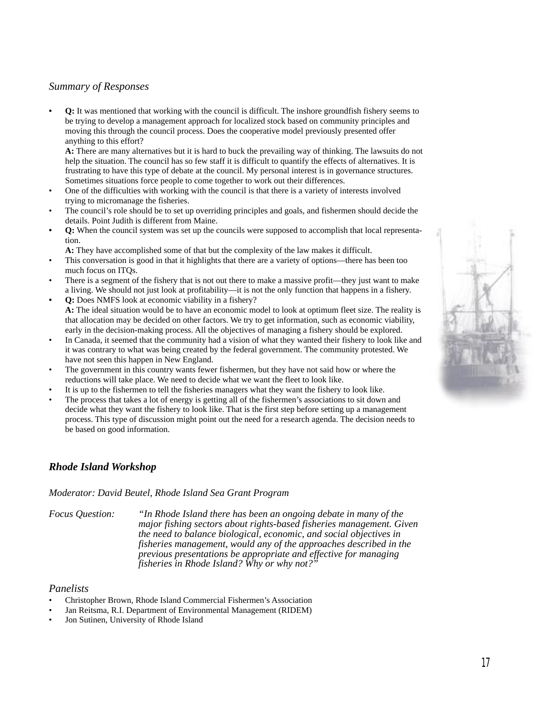## *Summary of Responses*

**• Q:** It was mentioned that working with the council is difficult. The inshore groundfish fishery seems to be trying to develop a management approach for localized stock based on community principles and moving this through the council process. Does the cooperative model previously presented offer anything to this effort?

**A:** There are many alternatives but it is hard to buck the prevailing way of thinking. The lawsuits do not help the situation. The council has so few staff it is difficult to quantify the effects of alternatives. It is frustrating to have this type of debate at the council. My personal interest is in governance structures. Sometimes situations force people to come together to work out their differences.

- One of the difficulties with working with the council is that there is a variety of interests involved trying to micromanage the fisheries.
- The council's role should be to set up overriding principles and goals, and fishermen should decide the details. Point Judith is different from Maine.
- **Q:** When the council system was set up the councils were supposed to accomplish that local representation.

**A:** They have accomplished some of that but the complexity of the law makes it difficult.

- This conversation is good in that it highlights that there are a variety of options—there has been too much focus on ITQs.
- There is a segment of the fishery that is not out there to make a massive profit—they just want to make a living. We should not just look at profitability—it is not the only function that happens in a fishery.
- **Q:** Does NMFS look at economic viability in a fishery? **A:** The ideal situation would be to have an economic model to look at optimum fleet size. The reality is that allocation may be decided on other factors. We try to get information, such as economic viability, early in the decision-making process. All the objectives of managing a fishery should be explored.
- In Canada, it seemed that the community had a vision of what they wanted their fishery to look like and it was contrary to what was being created by the federal government. The community protested. We have not seen this happen in New England.
- The government in this country wants fewer fishermen, but they have not said how or where the reductions will take place. We need to decide what we want the fleet to look like.
- It is up to the fishermen to tell the fisheries managers what they want the fishery to look like.
- The process that takes a lot of energy is getting all of the fishermen's associations to sit down and decide what they want the fishery to look like. That is the first step before setting up a management process. This type of discussion might point out the need for a research agenda. The decision needs to be based on good information.

# *Rhode Island Workshop*

#### *Moderator: David Beutel, Rhode Island Sea Grant Program*

*Focus Question: "In Rhode Island there has been an ongoing debate in many of the major fishing sectors about rights-based fisheries management. Given the need to balance biological, economic, and social objectives in fisheries management, would any of the approaches described in the previous presentations be appropriate and effective for managing fisheries in Rhode Island? Why or why not?"*

## *Panelists*

- Christopher Brown, Rhode Island Commercial Fishermen's Association
- Jan Reitsma, R.I. Department of Environmental Management (RIDEM)
- Jon Sutinen, University of Rhode Island

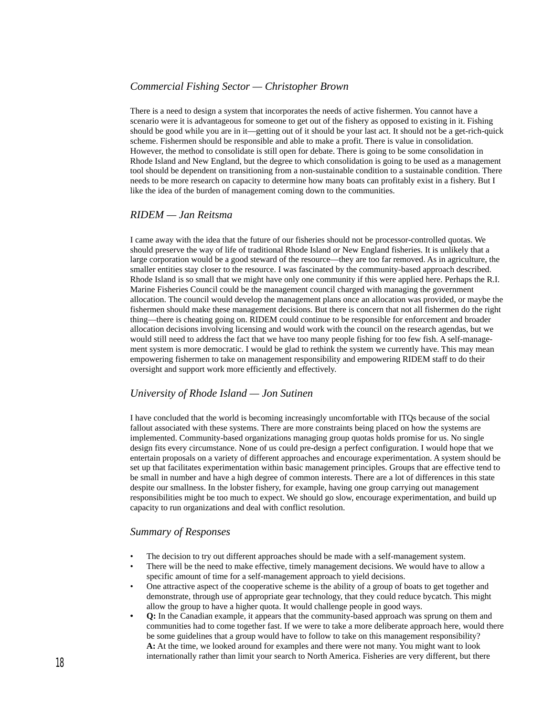# *Commercial Fishing Sector — Christopher Brown*

There is a need to design a system that incorporates the needs of active fishermen. You cannot have a scenario were it is advantageous for someone to get out of the fishery as opposed to existing in it. Fishing should be good while you are in it—getting out of it should be your last act. It should not be a get-rich-quick scheme. Fishermen should be responsible and able to make a profit. There is value in consolidation. However, the method to consolidate is still open for debate. There is going to be some consolidation in Rhode Island and New England, but the degree to which consolidation is going to be used as a management tool should be dependent on transitioning from a non-sustainable condition to a sustainable condition. There needs to be more research on capacity to determine how many boats can profitably exist in a fishery. But I like the idea of the burden of management coming down to the communities.

#### *RIDEM — Jan Reitsma*

I came away with the idea that the future of our fisheries should not be processor-controlled quotas. We should preserve the way of life of traditional Rhode Island or New England fisheries. It is unlikely that a large corporation would be a good steward of the resource—they are too far removed. As in agriculture, the smaller entities stay closer to the resource. I was fascinated by the community-based approach described. Rhode Island is so small that we might have only one community if this were applied here. Perhaps the R.I. Marine Fisheries Council could be the management council charged with managing the government allocation. The council would develop the management plans once an allocation was provided, or maybe the fishermen should make these management decisions. But there is concern that not all fishermen do the right thing—there is cheating going on. RIDEM could continue to be responsible for enforcement and broader allocation decisions involving licensing and would work with the council on the research agendas, but we would still need to address the fact that we have too many people fishing for too few fish. A self-management system is more democratic. I would be glad to rethink the system we currently have. This may mean empowering fishermen to take on management responsibility and empowering RIDEM staff to do their oversight and support work more efficiently and effectively.

### *University of Rhode Island — Jon Sutinen*

I have concluded that the world is becoming increasingly uncomfortable with ITQs because of the social fallout associated with these systems. There are more constraints being placed on how the systems are implemented. Community-based organizations managing group quotas holds promise for us. No single design fits every circumstance. None of us could pre-design a perfect configuration. I would hope that we entertain proposals on a variety of different approaches and encourage experimentation. A system should be set up that facilitates experimentation within basic management principles. Groups that are effective tend to be small in number and have a high degree of common interests. There are a lot of differences in this state despite our smallness. In the lobster fishery, for example, having one group carrying out management responsibilities might be too much to expect. We should go slow, encourage experimentation, and build up capacity to run organizations and deal with conflict resolution.

#### *Summary of Responses*

- The decision to try out different approaches should be made with a self-management system.
- There will be the need to make effective, timely management decisions. We would have to allow a specific amount of time for a self-management approach to yield decisions.
- One attractive aspect of the cooperative scheme is the ability of a group of boats to get together and demonstrate, through use of appropriate gear technology, that they could reduce bycatch. This might allow the group to have a higher quota. It would challenge people in good ways.
- **Q:** In the Canadian example, it appears that the community-based approach was sprung on them and communities had to come together fast. If we were to take a more deliberate approach here, would there be some guidelines that a group would have to follow to take on this management responsibility? **A:** At the time, we looked around for examples and there were not many. You might want to look internationally rather than limit your search to North America. Fisheries are very different, but there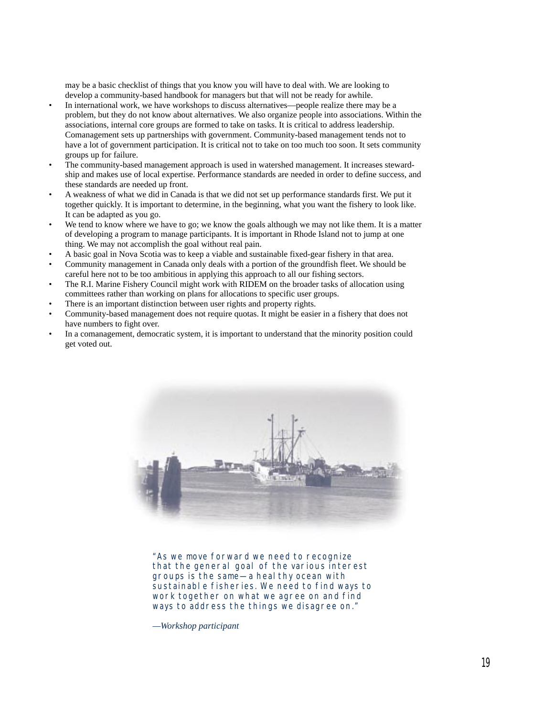may be a basic checklist of things that you know you will have to deal with. We are looking to develop a community-based handbook for managers but that will not be ready for awhile.

- In international work, we have workshops to discuss alternatives—people realize there may be a problem, but they do not know about alternatives. We also organize people into associations. Within the associations, internal core groups are formed to take on tasks. It is critical to address leadership. Comanagement sets up partnerships with government. Community-based management tends not to have a lot of government participation. It is critical not to take on too much too soon. It sets community groups up for failure.
- The community-based management approach is used in watershed management. It increases stewardship and makes use of local expertise. Performance standards are needed in order to define success, and these standards are needed up front.
- A weakness of what we did in Canada is that we did not set up performance standards first. We put it together quickly. It is important to determine, in the beginning, what you want the fishery to look like. It can be adapted as you go.
- We tend to know where we have to go; we know the goals although we may not like them. It is a matter of developing a program to manage participants. It is important in Rhode Island not to jump at one thing. We may not accomplish the goal without real pain.
- A basic goal in Nova Scotia was to keep a viable and sustainable fixed-gear fishery in that area.
- Community management in Canada only deals with a portion of the groundfish fleet. We should be careful here not to be too ambitious in applying this approach to all our fishing sectors.
- The R.I. Marine Fishery Council might work with RIDEM on the broader tasks of allocation using committees rather than working on plans for allocations to specific user groups.
- There is an important distinction between user rights and property rights.
- Community-based management does not require quotas. It might be easier in a fishery that does not have numbers to fight over.
- In a comanagement, democratic system, it is important to understand that the minority position could get voted out.



"As we move forward we need to recognize that the general goal of the various interest groups is the same—a heal thy ocean with sustainable fisheries. We need to find ways to work together on what we agree on and find ways to address the things we disagree on."

*—Workshop participant*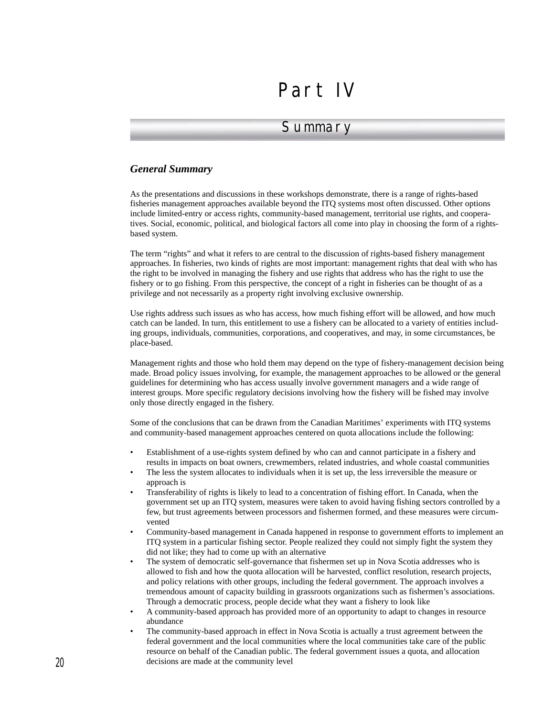# Part IV

# **Summary**

## *General Summary*

As the presentations and discussions in these workshops demonstrate, there is a range of rights-based fisheries management approaches available beyond the ITQ systems most often discussed. Other options include limited-entry or access rights, community-based management, territorial use rights, and cooperatives. Social, economic, political, and biological factors all come into play in choosing the form of a rightsbased system.

The term "rights" and what it refers to are central to the discussion of rights-based fishery management approaches. In fisheries, two kinds of rights are most important: management rights that deal with who has the right to be involved in managing the fishery and use rights that address who has the right to use the fishery or to go fishing. From this perspective, the concept of a right in fisheries can be thought of as a privilege and not necessarily as a property right involving exclusive ownership.

Use rights address such issues as who has access, how much fishing effort will be allowed, and how much catch can be landed. In turn, this entitlement to use a fishery can be allocated to a variety of entities including groups, individuals, communities, corporations, and cooperatives, and may, in some circumstances, be place-based.

Management rights and those who hold them may depend on the type of fishery-management decision being made. Broad policy issues involving, for example, the management approaches to be allowed or the general guidelines for determining who has access usually involve government managers and a wide range of interest groups. More specific regulatory decisions involving how the fishery will be fished may involve only those directly engaged in the fishery.

Some of the conclusions that can be drawn from the Canadian Maritimes' experiments with ITQ systems and community-based management approaches centered on quota allocations include the following:

- Establishment of a use-rights system defined by who can and cannot participate in a fishery and results in impacts on boat owners, crewmembers, related industries, and whole coastal communities
- The less the system allocates to individuals when it is set up, the less irreversible the measure or approach is
- Transferability of rights is likely to lead to a concentration of fishing effort. In Canada, when the government set up an ITQ system, measures were taken to avoid having fishing sectors controlled by a few, but trust agreements between processors and fishermen formed, and these measures were circumvented
- Community-based management in Canada happened in response to government efforts to implement an ITQ system in a particular fishing sector. People realized they could not simply fight the system they did not like; they had to come up with an alternative
- The system of democratic self-governance that fishermen set up in Nova Scotia addresses who is allowed to fish and how the quota allocation will be harvested, conflict resolution, research projects, and policy relations with other groups, including the federal government. The approach involves a tremendous amount of capacity building in grassroots organizations such as fishermen's associations. Through a democratic process, people decide what they want a fishery to look like
- A community-based approach has provided more of an opportunity to adapt to changes in resource abundance
- The community-based approach in effect in Nova Scotia is actually a trust agreement between the federal government and the local communities where the local communities take care of the public resource on behalf of the Canadian public. The federal government issues a quota, and allocation decisions are made at the community level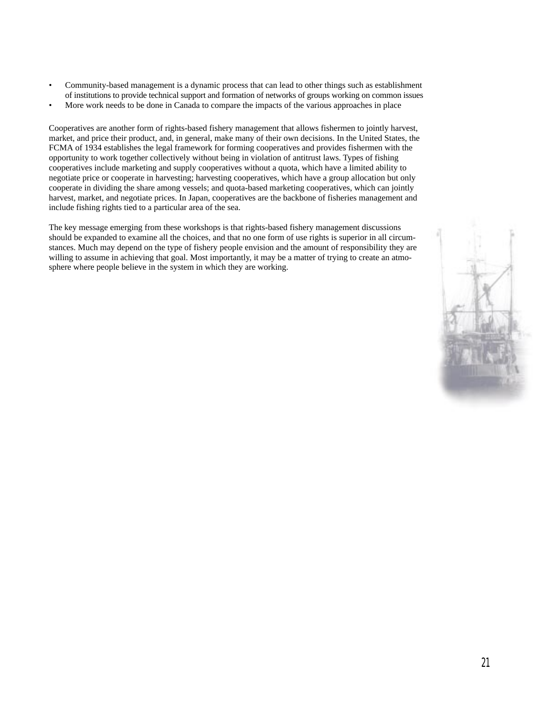- Community-based management is a dynamic process that can lead to other things such as establishment of institutions to provide technical support and formation of networks of groups working on common issues
- More work needs to be done in Canada to compare the impacts of the various approaches in place

Cooperatives are another form of rights-based fishery management that allows fishermen to jointly harvest, market, and price their product, and, in general, make many of their own decisions. In the United States, the FCMA of 1934 establishes the legal framework for forming cooperatives and provides fishermen with the opportunity to work together collectively without being in violation of antitrust laws. Types of fishing cooperatives include marketing and supply cooperatives without a quota, which have a limited ability to negotiate price or cooperate in harvesting; harvesting cooperatives, which have a group allocation but only cooperate in dividing the share among vessels; and quota-based marketing cooperatives, which can jointly harvest, market, and negotiate prices. In Japan, cooperatives are the backbone of fisheries management and include fishing rights tied to a particular area of the sea.

The key message emerging from these workshops is that rights-based fishery management discussions should be expanded to examine all the choices, and that no one form of use rights is superior in all circumstances. Much may depend on the type of fishery people envision and the amount of responsibility they are willing to assume in achieving that goal. Most importantly, it may be a matter of trying to create an atmosphere where people believe in the system in which they are working.

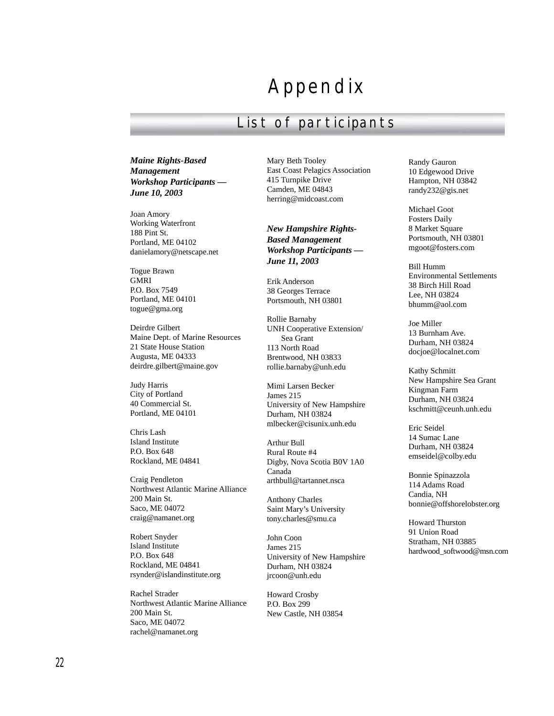# Appendix

# List of participants

*Maine Rights-Based Management Workshop Participants — June 10, 2003*

Joan Amory Working Waterfront 188 Pint St. Portland, ME 04102 danielamory@netscape.net

Togue Brawn GMRI P.O. Box 7549 Portland, ME 04101 togue@gma.org

Deirdre Gilbert Maine Dept. of Marine Resources 21 State House Station Augusta, ME 04333 deirdre.gilbert@maine.gov

Judy Harris City of Portland 40 Commercial St. Portland, ME 04101

Chris Lash Island Institute P.O. Box 648 Rockland, ME 04841

Craig Pendleton Northwest Atlantic Marine Alliance 200 Main St. Saco, ME 04072 craig@namanet.org

Robert Snyder Island Institute P.O. Box 648 Rockland, ME 04841 rsynder@islandinstitute.org

Rachel Strader Northwest Atlantic Marine Alliance 200 Main St. Saco, ME 04072 rachel@namanet.org

Mary Beth Tooley East Coast Pelagics Association 415 Turnpike Drive Camden, ME 04843 herring@midcoast.com

*New Hampshire Rights-Based Management Workshop Participants — June 11, 2003*

Erik Anderson 38 Georges Terrace Portsmouth, NH 03801

Rollie Barnaby UNH Cooperative Extension/ Sea Grant 113 North Road Brentwood, NH 03833 rollie.barnaby@unh.edu

Mimi Larsen Becker James 215 University of New Hampshire Durham, NH 03824 mlbecker@cisunix.unh.edu

Arthur Bull Rural Route #4 Digby, Nova Scotia B0V 1A0 Canada arthbull@tartannet.nsca

Anthony Charles Saint Mary's University tony.charles@smu.ca

John Coon James 215 University of New Hampshire Durham, NH 03824 jrcoon@unh.edu

Howard Crosby P.O. Box 299 New Castle, NH 03854

Randy Gauron 10 Edgewood Drive Hampton, NH 03842 randy232@gis.net

Michael Goot Fosters Daily 8 Market Square Portsmouth, NH 03801 mgoot@fosters.com

Bill Humm Environmental Settlements 38 Birch Hill Road Lee, NH 03824 bhumm@aol.com

Joe Miller 13 Burnham Ave. Durham, NH 03824 docjoe@localnet.com

Kathy Schmitt New Hampshire Sea Grant Kingman Farm Durham, NH 03824 kschmitt@ceunh.unh.edu

Eric Seidel 14 Sumac Lane Durham, NH 03824 emseidel@colby.edu

Bonnie Spinazzola 114 Adams Road Candia, NH bonnie@offshorelobster.org

Howard Thurston 91 Union Road Stratham, NH 03885 hardwood\_softwood@msn.com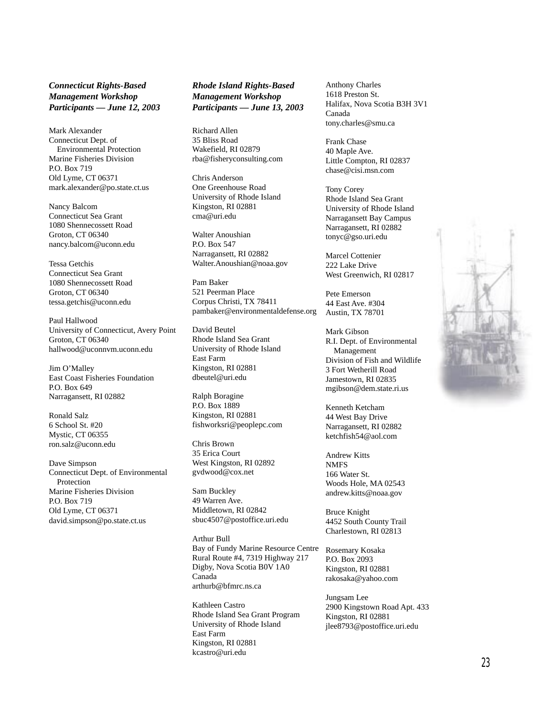#### *Connecticut Rights-Based Management Workshop Participants — June 12, 2003*

Mark Alexander Connecticut Dept. of Environmental Protection Marine Fisheries Division P.O. Box 719 Old Lyme, CT 06371 mark.alexander@po.state.ct.us

Nancy Balcom Connecticut Sea Grant 1080 Shennecossett Road Groton, CT 06340 nancy.balcom@uconn.edu

Tessa Getchis Connecticut Sea Grant 1080 Shennecossett Road Groton, CT 06340 tessa.getchis@uconn.edu

Paul Hallwood University of Connecticut, Avery Point Groton, CT 06340 hallwood@uconnvm.uconn.edu

Jim O'Malley East Coast Fisheries Foundation P.O. Box 649 Narragansett, RI 02882

Ronald Salz 6 School St. #20 Mystic, CT 06355 ron.salz@uconn.edu

Dave Simpson Connecticut Dept. of Environmental Protection Marine Fisheries Division P.O. Box 719 Old Lyme, CT 06371 david.simpson@po.state.ct.us

*Rhode Island Rights-Based Management Workshop Participants — June 13, 2003*

Richard Allen 35 Bliss Road Wakefield, RI 02879 rba@fisheryconsulting.com

Chris Anderson One Greenhouse Road University of Rhode Island Kingston, RI 02881 cma@uri.edu

Walter Anoushian P.O. Box 547 Narragansett, RI 02882 Walter.Anoushian@noaa.gov

Pam Baker 521 Peerman Place Corpus Christi, TX 78411 pambaker@environmentaldefense.org

David Beutel Rhode Island Sea Grant University of Rhode Island East Farm Kingston, RI 02881 dbeutel@uri.edu

Ralph Boragine P.O. Box 1889 Kingston, RI 02881 fishworksri@peoplepc.com

Chris Brown 35 Erica Court West Kingston, RI 02892 gvdwood@cox.net

Sam Buckley 49 Warren Ave. Middletown, RI 02842 sbuc4507@postoffice.uri.edu

Arthur Bull Bay of Fundy Marine Resource Centre Rural Route #4, 7319 Highway 217 Digby, Nova Scotia B0V 1A0 Canada arthurb@bfmrc.ns.ca

Kathleen Castro Rhode Island Sea Grant Program University of Rhode Island East Farm Kingston, RI 02881 kcastro@uri.edu

Anthony Charles 1618 Preston St. Halifax, Nova Scotia B3H 3V1 Canada tony.charles@smu.ca

Frank Chase 40 Maple Ave. Little Compton, RI 02837 chase@cisi.msn.com

Tony Corey Rhode Island Sea Grant University of Rhode Island Narragansett Bay Campus Narragansett, RI 02882 tonyc@gso.uri.edu

Marcel Cottenier 222 Lake Drive West Greenwich, RI 02817

Pete Emerson 44 East Ave. #304 Austin, TX 78701

Mark Gibson R.I. Dept. of Environmental Management Division of Fish and Wildlife 3 Fort Wetherill Road Jamestown, RI 02835 mgibson@dem.state.ri.us

Kenneth Ketcham 44 West Bay Drive Narragansett, RI 02882 ketchfish54@aol.com

Andrew Kitts NMFS 166 Water St. Woods Hole, MA 02543 andrew.kitts@noaa.gov

Bruce Knight 4452 South County Trail Charlestown, RI 02813

Rosemary Kosaka P.O. Box 2093 Kingston, RI 02881 rakosaka@yahoo.com

Jungsam Lee 2900 Kingstown Road Apt. 433 Kingston, RI 02881 jlee8793@postoffice.uri.edu